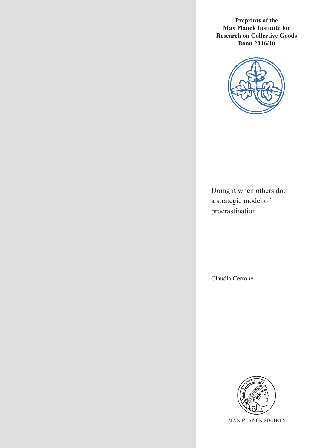**Preprints of the Max Planck Institute for Research on Collective Goods Bonn 2016/10**



Doing it when others do: a strategic model of procrastination

Claudia Cerrone

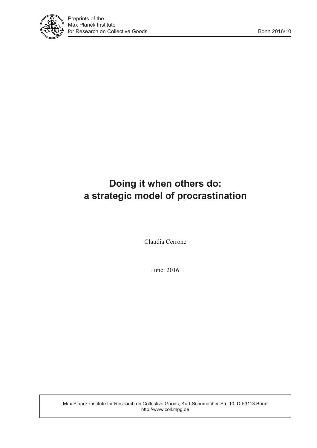

# **Doing it when others do: a strategic model of procrastination**

Claudia Cerrone

June 2016

Max Planck Institute for Research on Collective Goods, Kurt-Schumacher-Str. 10, D-53113 Bonn http://www.coll.mpg.de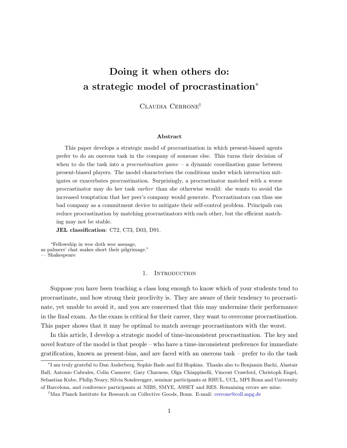## <span id="page-2-0"></span>Doing it when others do: a strategic model of procrastination<sup>∗</sup>

Claudia Cerrone†

#### Abstract

This paper develops a strategic model of procrastination in which present-biased agents prefer to do an onerous task in the company of someone else. This turns their decision of when to do the task into a *procrastination game*  $-$  a dynamic coordination game between present-biased players. The model characterises the conditions under which interaction mitigates or exacerbates procrastination. Surprisingly, a procrastinator matched with a worse procrastinator may do her task earlier than she otherwise would: she wants to avoid the increased temptation that her peer's company would generate. Procrastinators can thus use bad company as a commitment device to mitigate their self-control problem. Principals can reduce procrastination by matching procrastinators with each other, but the efficient matching may not be stable.

JEL classification: C72, C73, D03, D91.

"Fellowship in woe doth woe assuage, as palmers' chat makes short their pilgrimage." — Shakespeare

#### 1. INTRODUCTION

Suppose you have been teaching a class long enough to know which of your students tend to procrastinate, and how strong their proclivity is. They are aware of their tendency to procrastinate, yet unable to avoid it, and you are concerned that this may undermine their performance in the final exam. As the exam is critical for their career, they want to overcome procrastination. This paper shows that it may be optimal to match average procrastinators with the worst.

In this article, I develop a strategic model of time-inconsistent procrastination. The key and novel feature of the model is that people – who have a time-inconsistent preference for immediate gratification, known as present-bias, and are faced with an onerous task – prefer to do the task

<sup>∗</sup> I am truly grateful to Dan Anderberg, Sophie Bade and Ed Hopkins. Thanks also to Benjamin Bachi, Alastair Ball, Antonio Cabrales, Colin Camerer, Gary Charness, Olga Chiappinelli, Vincent Crawford, Christoph Engel, Sebastian Kube, Philip Neary, Silvia Sonderegger, seminar participants at RHUL, UCL, MPI Bonn and University of Barcelona, and conference participants at NIBS, SMYE, ASSET and RES. Remaining errors are mine.

<sup>†</sup>Max Planck Institute for Research on Collective Goods, Bonn. E-mail: [cerrone@coll.mpg.de](mailto:cerrone@coll.mpg.de)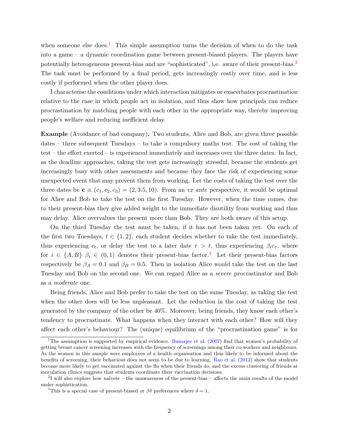when someone else does.<sup>[1](#page-2-0)</sup> This simple assumption turns the decision of when to do the task into a game – a dynamic coordination game between present-biased players. The players have potentially heterogeneous present-bias and are "sophisticated", i.e. aware of their present-bias.[2](#page-2-0) The task must be performed by a final period, gets increasingly costly over time, and is less costly if performed when the other player does.

I characterise the conditions under which interaction mitigates or exacerbates procrastination relative to the case in which people act in isolation, and thus show how principals can reduce procrastination by matching people with each other in the appropriate way, thereby improving people's welfare and reducing inefficient delay.

Example (Avoidance of bad company). Two students, Alice and Bob, are given three possible dates – three subsequent Tuesdays – to take a compulsory maths test. The cost of taking the test – the effort exerted – is experienced immediately and increases over the three dates. In fact, as the deadline approaches, taking the test gets increasingly stressful, because the students get increasingly busy with other assessments and because they face the risk of experiencing some unexpected event that may prevent them from working. Let the costs of taking the test over the three dates be  $\mathbf{c} \equiv (c_1, c_2, c_3) = (2, 3.5, 10)$ . From an ex ante perspective, it would be optimal for Alice and Bob to take the test on the first Tuesday. However, when the time comes, due to their present-bias they give added weight to the immediate disutility from working and thus may delay. Alice overvalues the present more than Bob. They are both aware of this setup.

On the third Tuesday the test must be taken, if it has not been taken yet. On each of the first two Tuesdays,  $t \in \{1,2\}$ , each student decides whether to take the test immediately, thus experiencing  $c_t$ , or delay the test to a later date  $\tau > t$ , thus experiencing  $\beta_i c_{\tau}$ , where for  $i \in \{A, B\}$   $\beta_i \in (0, 1)$  denotes their present-bias factor.<sup>[3](#page-2-0)</sup> Let their present-bias factors respectively be  $\beta_A = 0.1$  and  $\beta_B = 0.5$ . Then in isolation Alice would take the test on the last Tuesday and Bob on the second one. We can regard Alice as a severe procrastinator and Bob as a moderate one.

Being friends, Alice and Bob prefer to take the test on the same Tuesday, as taking the test when the other does will be less unpleasant. Let the reduction in the cost of taking the test generated by the company of the other be 40%. Moreover, being friends, they know each other's tendency to procrastinate. What happens when they interact with each other? How will they affect each other's behaviour? The (unique) equilibrium of the "procrastination game" is for

<sup>&</sup>lt;sup>1</sup>The assumption is supported by empirical evidence. [Banarjee et al.](#page-27-0)  $(2007)$  find that women's probability of getting breast cancer screening increases with the frequency of screenings among their co-workers and neighbours. As the women in this sample were employees of a health organisation and thus likely to be informed about the benefits of screening, their behaviour does not seem to be due to learning. [Rao et al.](#page-28-0) [\(2012\)](#page-28-0) show that students become more likely to get vaccinated against the flu when their friends do, and the excess clustering of friends at inoculation clinics suggests that students coordinate their vaccination decisions.

 $2<sup>1</sup>$  will also explore how naïvete – the unawareness of the present-bias – affects the main results of the model under sophistication.

<sup>&</sup>lt;sup>3</sup>This is a special case of present-biased or  $\beta\delta$  preferences where  $\delta = 1$ .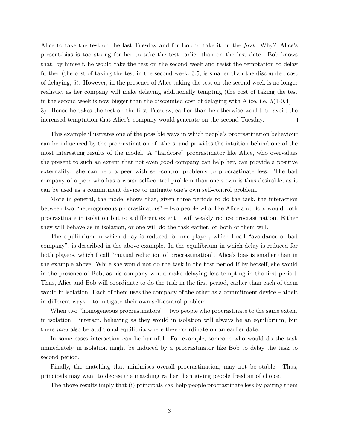Alice to take the test on the last Tuesday and for Bob to take it on the first. Why? Alice's present-bias is too strong for her to take the test earlier than on the last date. Bob knows that, by himself, he would take the test on the second week and resist the temptation to delay further (the cost of taking the test in the second week, 3.5, is smaller than the discounted cost of delaying, 5). However, in the presence of Alice taking the test on the second week is no longer realistic, as her company will make delaying additionally tempting (the cost of taking the test in the second week is now bigger than the discounted cost of delaying with Alice, i.e.  $5(1-0.4)$ 3). Hence he takes the test on the first Tuesday, earlier than he otherwise would, to avoid the increased temptation that Alice's company would generate on the second Tuesday.  $\Box$ 

This example illustrates one of the possible ways in which people's procrastination behaviour can be influenced by the procrastination of others, and provides the intuition behind one of the most interesting results of the model. A "hardcore" procrastinator like Alice, who overvalues the present to such an extent that not even good company can help her, can provide a positive externality: she can help a peer with self-control problems to procrastinate less. The bad company of a peer who has a worse self-control problem than one's own is thus desirable, as it can be used as a commitment device to mitigate one's own self-control problem.

More in general, the model shows that, given three periods to do the task, the interaction between two "heterogeneous procrastinators" – two people who, like Alice and Bob, would both procrastinate in isolation but to a different extent – will weakly reduce procrastination. Either they will behave as in isolation, or one will do the task earlier, or both of them will.

The equilibrium in which delay is reduced for one player, which I call "avoidance of bad company", is described in the above example. In the equilibrium in which delay is reduced for both players, which I call "mutual reduction of procrastination", Alice's bias is smaller than in the example above. While she would not do the task in the first period if by herself, she would in the presence of Bob, as his company would make delaying less tempting in the first period. Thus, Alice and Bob will coordinate to do the task in the first period, earlier than each of them would in isolation. Each of them uses the company of the other as a commitment device – albeit in different ways – to mitigate their own self-control problem.

When two "homogeneous procrastinators" – two people who procrastinate to the same extent in isolation – interact, behaving as they would in isolation will always be an equilibrium, but there may also be additional equilibria where they coordinate on an earlier date.

In some cases interaction can be harmful. For example, someone who would do the task immediately in isolation might be induced by a procrastinator like Bob to delay the task to second period.

Finally, the matching that minimises overall procrastination, may not be stable. Thus, principals may want to decree the matching rather than giving people freedom of choice.

The above results imply that (i) principals *can* help people procrastinate less by pairing them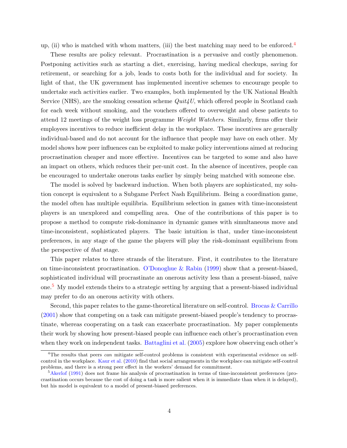up, (ii) who is matched with whom matters, (iii) the best matching may need to be enforced.<sup>[4](#page-2-0)</sup>

These results are policy relevant. Procrastination is a pervasive and costly phenomenon. Postponing activities such as starting a diet, exercising, having medical checkups, saving for retirement, or searching for a job, leads to costs both for the individual and for society. In light of that, the UK government has implemented incentive schemes to encourage people to undertake such activities earlier. Two examples, both implemented by the UK National Health Service (NHS), are the smoking cessation scheme  $Quit4U$ , which offered people in Scotland cash for each week without smoking, and the vouchers offered to overweight and obese patients to attend 12 meetings of the weight loss programme Weight Watchers. Similarly, firms offer their employees incentives to reduce inefficient delay in the workplace. These incentives are generally individual-based and do not account for the influence that people may have on each other. My model shows how peer influences can be exploited to make policy interventions aimed at reducing procrastination cheaper and more effective. Incentives can be targeted to some and also have an impact on others, which reduces their per-unit cost. In the absence of incentives, people can be encouraged to undertake onerous tasks earlier by simply being matched with someone else.

The model is solved by backward induction. When both players are sophisticated, my solution concept is equivalent to a Subgame Perfect Nash Equilibrium. Being a coordination game, the model often has multiple equilibria. Equilibrium selection in games with time-inconsistent players is an unexplored and compelling area. One of the contributions of this paper is to propose a method to compute risk-dominance in dynamic games with simultaneous move and time-inconsistent, sophisticated players. The basic intuition is that, under time-inconsistent preferences, in any stage of the game the players will play the risk-dominant equilibrium from the perspective of that stage.

This paper relates to three strands of the literature. First, it contributes to the literature on time-inconsistent procrastination. [O'Donoghue & Rabin](#page-28-1) [\(1999\)](#page-28-1) show that a present-biased, sophisticated individual will procrastinate an onerous activity less than a present-biased, naïve one.[5](#page-2-0) My model extends theirs to a strategic setting by arguing that a present-biased individual may prefer to do an onerous activity with others.

Second, this paper relates to the game-theoretical literature on self-control. [Brocas & Carrillo](#page-27-1) [\(2001\)](#page-27-1) show that competing on a task can mitigate present-biased people's tendency to procrastinate, whereas cooperating on a task can exacerbate procrastination. My paper complements their work by showing how present-biased people can influence each other's procrastination even when they work on independent tasks. [Battaglini et al.](#page-27-2) [\(2005\)](#page-27-2) explore how observing each other's

<sup>&</sup>lt;sup>4</sup>The results that peers *can* mitigate self-control problems is consistent with experimental evidence on selfcontrol in the workplace. [Kaur et al.](#page-28-2) [\(2010\)](#page-28-2) find that social arrangements in the workplace can mitigate self-control problems, and there is a strong peer effect in the workers' demand for commitment.

<sup>&</sup>lt;sup>5</sup>[Akerlof](#page-27-3) [\(1991\)](#page-27-3) does not frame his analysis of procrastination in terms of time-inconsistent preferences (procrastination occurs because the cost of doing a task is more salient when it is immediate than when it is delayed), but his model is equivalent to a model of present-biased preferences.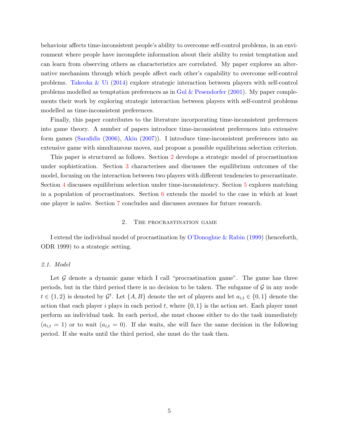behaviour affects time-inconsistent people's ability to overcome self-control problems, in an environment where people have incomplete information about their ability to resist temptation and can learn from observing others as characteristics are correlated. My paper explores an alternative mechanism through which people affect each other's capability to overcome self-control problems. [Takeoka & Ui](#page-28-3) [\(2014\)](#page-28-3) explore strategic interaction between players with self-control problems modelled as temptation preferences as in [Gul & Pesendorfer](#page-28-4)  $(2001)$ . My paper complements their work by exploring strategic interaction between players with self-control problems modelled as time-inconsistent preferences.

Finally, this paper contributes to the literature incorporating time-inconsistent preferences into game theory. A number of papers introduce time-inconsistent preferences into extensive form games [\(Sarafidis](#page-28-5) [\(2006\)](#page-28-5), [Akin](#page-27-4) [\(2007\)](#page-27-4)). I introduce time-inconsistent preferences into an extensive game with simultaneous moves, and propose a possible equilibrium selection criterion.

This paper is structured as follows. Section [2](#page-6-0) develops a strategic model of procrastination under sophistication. Section [3](#page-9-0) characterises and discusses the equilibrium outcomes of the model, focusing on the interaction between two players with different tendencies to procrastinate. Section [4](#page-14-0) discusses equilibrium selection under time-inconsistency. Section [5](#page-16-0) explores matching in a population of procrastinators. Section  $6$  extends the model to the case in which at least one player is na¨ıve. Section [7](#page-21-0) concludes and discusses avenues for future research.

#### 2. The procrastination game

<span id="page-6-0"></span>I extend the individual model of procrastination by [O'Donoghue & Rabin](#page-28-1) [\(1999\)](#page-28-1) (henceforth, ODR 1999) to a strategic setting.

#### 2.1. Model

Let  $\mathcal G$  denote a dynamic game which I call "procrastination game". The game has three periods, but in the third period there is no decision to be taken. The subgame of  $\mathcal G$  in any node  $t \in \{1,2\}$  is denoted by  $\mathcal{G}^t$ . Let  $\{A, B\}$  denote the set of players and let  $a_{i,t} \in \{0,1\}$  denote the action that each player i plays in each period t, where  $\{0, 1\}$  is the action set. Each player must perform an individual task. In each period, she must choose either to do the task immediately  $(a_{i,t} = 1)$  or to wait  $(a_{i,t} = 0)$ . If she waits, she will face the same decision in the following period. If she waits until the third period, she must do the task then.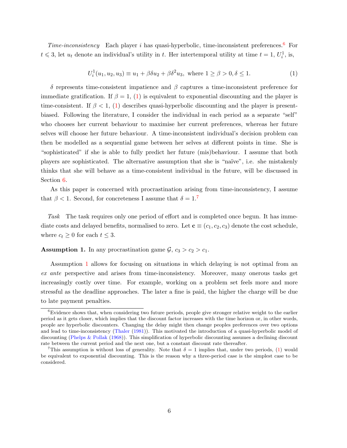<span id="page-7-0"></span> $Time-inconsistency$  Each player i has quasi-hyperbolic, time-inconsistent preferences.<sup>[6](#page-2-0)</sup> For  $t \leq 3$ , let  $u_t$  denote an individual's utility in t. Her intertemporal utility at time  $t = 1, U_i^1$ , is,

$$
U_i^1(u_1, u_2, u_3) \equiv u_1 + \beta \delta u_2 + \beta \delta^2 u_3, \text{ where } 1 \ge \beta > 0, \delta \le 1.
$$
 (1)

δ represents time-consistent impatience and β captures a time-inconsistent preference for immediate gratification. If  $\beta = 1$ , [\(1\)](#page-7-0) is equivalent to exponential discounting and the player is time-consistent. If  $\beta < 1$ , [\(1\)](#page-7-0) describes quasi-hyperbolic discounting and the player is presentbiased. Following the literature, I consider the individual in each period as a separate "self" who chooses her current behaviour to maximise her current preferences, whereas her future selves will choose her future behaviour. A time-inconsistent individual's decision problem can then be modelled as a sequential game between her selves at different points in time. She is "sophisticated" if she is able to fully predict her future (mis)behaviour. I assume that both players are sophisticated. The alternative assumption that she is "na¨ıve", i.e. she mistakenly thinks that she will behave as a time-consistent individual in the future, will be discussed in Section [6.](#page-18-0)

As this paper is concerned with procrastination arising from time-inconsistency, I assume that  $\beta$  < 1. Second, for concreteness I assume that  $\delta = 1$ .<sup>[7](#page-2-0)</sup>

Task The task requires only one period of effort and is completed once begun. It has immediate costs and delayed benefits, normalised to zero. Let  $\mathbf{c} \equiv (c_1, c_2, c_3)$  denote the cost schedule, where  $c_t \geq 0$  for each  $t \leq 3$ .

<span id="page-7-1"></span>**Assumption 1.** In any procrastination game  $\mathcal{G}, c_3 > c_2 > c_1$ .

Assumption [1](#page-7-1) allows for focusing on situations in which delaying is not optimal from an ex ante perspective and arises from time-inconsistency. Moreover, many onerous tasks get increasingly costly over time. For example, working on a problem set feels more and more stressful as the deadline approaches. The later a fine is paid, the higher the charge will be due to late payment penalties.

<sup>&</sup>lt;sup>6</sup>Evidence shows that, when considering two future periods, people give stronger relative weight to the earlier period as it gets closer, which implies that the discount factor increases with the time horizon or, in other words, people are hyperbolic discounters. Changing the delay might then change peoples preferences over two options and lead to time-inconsistency [\(Thaler](#page-28-6) [\(1981\)](#page-28-6)). This motivated the introduction of a quasi-hyperbolic model of discounting [\(Phelps & Pollak](#page-28-7) [\(1968\)](#page-28-7)). This simplification of hyperbolic discounting assumes a declining discount rate between the current period and the next one, but a constant discount rate thereafter.

<sup>&</sup>lt;sup>7</sup>This assumption is without loss of generality. Note that  $\delta = 1$  implies that, under two periods, [\(1\)](#page-7-0) would be equivalent to exponential discounting. This is the reason why a three-period case is the simplest case to be considered.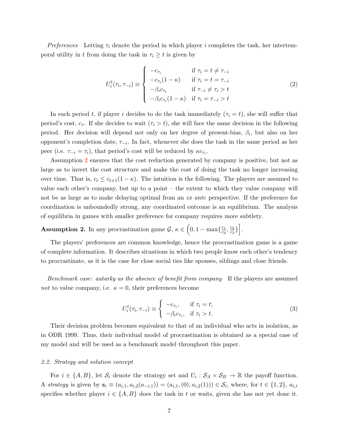Preferences Letting  $\tau_i$  denote the period in which player i completes the task, her intertemporal utility in t from doing the task in  $\tau_i \geq t$  is given by

<span id="page-8-1"></span>
$$
U_i^t(\tau_i, \tau_{-i}) \equiv \begin{cases} -c_{\tau_i} & \text{if } \tau_i = t \neq \tau_{-i} \\ -c_{\tau_i}(1 - \kappa) & \text{if } \tau_i = t = \tau_{-i} \\ -\beta_i c_{\tau_i} & \text{if } \tau_{-i} \neq \tau_i > t \\ -\beta_i c_{\tau_i}(1 - \kappa) & \text{if } \tau_i = \tau_{-i} > t \end{cases} \tag{2}
$$

In each period t, if player i decides to do the task immediately  $(\tau_i = t)$ , she will suffer that period's cost,  $c_{\tau}$ . If she decides to wait  $(\tau_i > t)$ , she will face the same decision in the following period. Her decision will depend not only on her degree of present-bias,  $\beta_i$ , but also on her opponent's completion date,  $\tau_{-i}$ . In fact, whenever she does the task in the same period as her peer (i.e.  $\tau_{-i} = \tau_i$ ), that period's cost will be reduced by  $\kappa c_{\tau_i}$ .

Assumption [2](#page-8-0) ensures that the cost reduction generated by company is positive, but not as large as to invert the cost structure and make the cost of doing the task no longer increasing over time. That is,  $c_t \leq c_{t+1}(1 - \kappa)$ . The intuition is the following. The players are assumed to value each other's company, but up to a point – the extent to which they value company will not be as large as to make delaying optimal from an ex ante perspective. If the preference for coordination is unboundedly strong, any coordinated outcome is an equilibrium. The analysis of equilibria in games with smaller preference for company requires more subtlety.

<span id="page-8-0"></span>**Assumption 2.** In any procrastination game  $\mathcal{G}, \kappa \in (0, 1 - \max\{\frac{c_1}{c_2}\})$  $rac{c_1}{c_2}, \frac{c_2}{c_3}$  $\left[\frac{c_2}{c_3}\right]$ .

The players' preferences are common knowledge, hence the procrastination game is a game of complete information. It describes situations in which two people know each other's tendency to procrastinate, as it is the case for close social ties like spouses, siblings and close friends.

Benchmark case: autarky as the absence of benefit from company If the players are assumed not to value company, i.e.  $\kappa = 0$ , their preferences become

$$
U_i^t(\tau_i, \tau_{-i}) \equiv \begin{cases} -c_{\tau_i}, & \text{if } \tau_i = t; \\ -\beta_i c_{\tau_i}, & \text{if } \tau_i > t. \end{cases}
$$
 (3)

Their decision problem becomes equivalent to that of an individual who acts in isolation, as in ODR 1999. Thus, their individual model of procrastination is obtained as a special case of my model and will be used as a benchmark model throughout this paper.

#### 2.2. Strategy and solution concept

For  $i \in \{A, B\}$ , let  $S_i$  denote the strategy set and  $U_i : S_A \times S_B \to \mathbb{R}$  the payoff function. A strategy is given by  $s_i \equiv (a_{i,1}, a_{i,2}(a_{-i,1})) = (a_{i,1}, (0), a_{i,2}(1))) \in \mathcal{S}_i$ , where, for  $t \in \{1,2\}$ ,  $a_{i,t}$ specifies whether player  $i \in \{A, B\}$  does the task in t or waits, given she has not yet done it.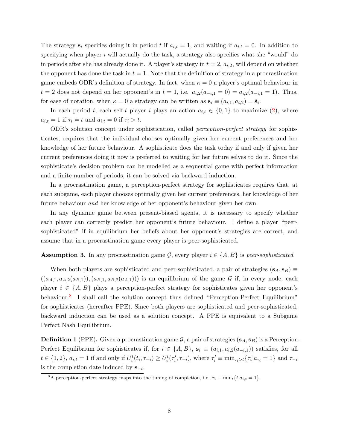The strategy  $s_i$  specifies doing it in period t if  $a_{i,t} = 1$ , and waiting if  $a_{i,t} = 0$ . In addition to specifying when player  $i$  will actually do the task, a strategy also specifies what she "would" do in periods after she has already done it. A player's strategy in  $t = 2$ ,  $a_{i,2}$ , will depend on whether the opponent has done the task in  $t = 1$ . Note that the definition of strategy in a procrastination game embeds ODR's definition of strategy. In fact, when  $\kappa = 0$  a player's optimal behaviour in  $t = 2$  does not depend on her opponent's in  $t = 1$ , i.e.  $a_{i,2}(a_{-i,1} = 0) = a_{i,2}(a_{-i,1} = 1)$ . Thus, for ease of notation, when  $\kappa = 0$  a strategy can be written as  $\mathbf{s}_i \equiv (a_{i,1}, a_{i,2}) = \tilde{\mathbf{s}}_i$ .

In each period t, each self-t player i plays an action  $a_{i,t} \in \{0,1\}$  to maximize [\(2\)](#page-8-1), where  $a_{i,t} = 1$  if  $\tau_i = t$  and  $a_{i,t} = 0$  if  $\tau_i > t$ .

ODR's solution concept under sophistication, called perception-perfect strategy for sophisticates, requires that the individual chooses optimally given her current preferences and her knowledge of her future behaviour. A sophisticate does the task today if and only if given her current preferences doing it now is preferred to waiting for her future selves to do it. Since the sophisticate's decision problem can be modelled as a sequential game with perfect information and a finite number of periods, it can be solved via backward induction.

In a procrastination game, a perception-perfect strategy for sophisticates requires that, at each subgame, each player chooses optimally given her current preferences, her knowledge of her future behaviour and her knowledge of her opponent's behaviour given her own.

In any dynamic game between present-biased agents, it is necessary to specify whether each player can correctly predict her opponent's future behaviour. I define a player "peersophisticated" if in equilibrium her beliefs about her opponent's strategies are correct, and assume that in a procrastination game every player is peer-sophisticated.

## **Assumption 3.** In any procrastination game G, every player  $i \in \{A, B\}$  is peer-sophisticated.

When both players are sophisticated and peer-sophisticated, a pair of strategies  $(s_A, s_B) \equiv$  $((a_{A,1}, a_{A,2}(a_{B,1})), (a_{B,1}, a_{B,2}(a_{A,1})))$  is an equilibrium of the game G if, in every node, each player  $i \in \{A, B\}$  plays a perception-perfect strategy for sophisticates given her opponent's behaviour.<sup>[8](#page-2-0)</sup> I shall call the solution concept thus defined "Perception-Perfect Equilibrium" for sophisticates (hereafter PPE). Since both players are sophisticated and peer-sophisticated, backward induction can be used as a solution concept. A PPE is equivalent to a Subgame Perfect Nash Equilibrium.

**Definition 1** (PPE). Given a procrastination game  $\mathcal{G}$ , a pair of strategies ( $s_A$ ,  $s_B$ ) is a Perception-Perfect Equilibrium for sophisticates if, for  $i \in \{A, B\}$ ,  $s_i \equiv (a_{i,1}, a_{i,2}(a_{-i,1}))$  satisfies, for all  $t \in \{1,2\}$ ,  $a_{i,t} = 1$  if and only if  $U_i^t(t_i, \tau_{-i}) \ge U_i^t(\tau_i', \tau_{-i})$ , where  $\tau_i' \equiv \min_{\tau_i > t} {\tau_i | a_{\tau_i} = 1}$  and  $\tau_{-i}$ is the completion date induced by  $s_{-i}$ .

<span id="page-9-0"></span><sup>&</sup>lt;sup>8</sup>A perception-perfect strategy maps into the timing of completion, i.e.  $\tau_i \equiv \min_t \{t | a_{i,t} = 1\}.$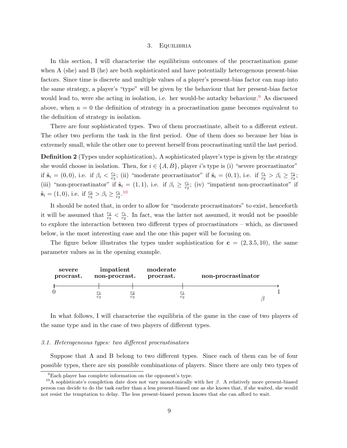#### 3. Equilibria

In this section, I will characterise the equilibrium outcomes of the procrastination game when A (she) and B (he) are both sophisticated and have potentially heterogenous present-bias factors. Since time is discrete and multiple values of a player's present-bias factor can map into the same strategy, a player's "type" will be given by the behaviour that her present-bias factor would lead to, were she acting in isolation, i.e. her would-be autarky behaviour.<sup>[9](#page-2-0)</sup> As discussed above, when  $\kappa = 0$  the definition of strategy in a procrastination game becomes equivalent to the definition of strategy in isolation.

There are four sophisticated types. Two of them procrastinate, albeit to a different extent. The other two perform the task in the first period. One of them does so because her bias is extremely small, while the other one to prevent herself from procrastinating until the last period.

Definition 2 (Types under sophistication). A sophisticated player's type is given by the strategy she would choose in isolation. Then, for  $i \in \{A, B\}$ , player i's type is (i) "severe procrastinator" if  $\tilde{\mathbf{s}}_i = (0,0)$ , i.e. if  $\beta_i < \frac{c_1}{c_2}$  $\frac{c_1}{c_3}$ ; (ii) "moderate procrastinator" if  $\tilde{s}_i = (0, 1)$ , i.e. if  $\frac{c_1}{c_2} > \beta_i \ge \frac{c_2}{c_3}$  $\frac{c_2}{c_3}$ ; (iii) "non-procrastinator" if  $\tilde{\mathbf{s}}_i = (1,1)$ , i.e. if  $\beta_i \geq \frac{c_1}{c_2}$  $\frac{c_1}{c_2}$ ; (iv) "impatient non-procrastinator" if  $\tilde{\mathbf{s}}_i = (1,0), \text{ i.e. if } \frac{c_2}{c_3} > \beta_i \ge \frac{c_1}{c_3}$  $\frac{c_1}{c_3}$ .<sup>[10](#page-2-0)</sup>

It should be noted that, in order to allow for "moderate procrastinators" to exist, henceforth it will be assumed that  $\frac{c_2}{c_3} < \frac{c_1}{c_2}$  $\frac{c_1}{c_2}$ . In fact, was the latter not assumed, it would not be possible to explore the interaction between two different types of procrastinators – which, as discussed below, is the most interesting case and the one this paper will be focusing on.

The figure below illustrates the types under sophistication for  $c = (2, 3.5, 10)$ , the same parameter values as in the opening example.



In what follows, I will characterise the equilibria of the game in the case of two players of the same type and in the case of two players of different types.

## 3.1. Heterogeneous types: two different procrastinators

Suppose that A and B belong to two different types. Since each of them can be of four possible types, there are six possible combinations of players. Since there are only two types of

 ${}^{9}$ Each player has complete information on the opponent's type.

<sup>&</sup>lt;sup>10</sup>A sophisticate's completion date does not vary monotonically with her  $\beta$ . A relatively more present-biased person can decide to do the task earlier than a less present-biased one as she knows that, if she waited, she would not resist the temptation to delay. The less present-biased person knows that she can afford to wait.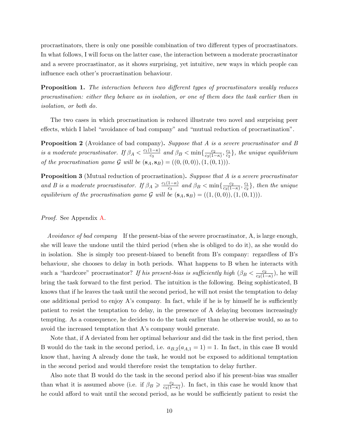procrastinators, there is only one possible combination of two different types of procrastinators. In what follows, I will focus on the latter case, the interaction between a moderate procrastinator and a severe procrastinator, as it shows surprising, yet intuitive, new ways in which people can influence each other's procrastination behaviour.

<span id="page-11-0"></span>**Proposition 1.** The interaction between two different types of procrastinators weakly reduces procrastination: either they behave as in isolation, or one of them does the task earlier than in isolation, or both do.

The two cases in which procrastination is reduced illustrate two novel and surprising peer effects, which I label "avoidance of bad company" and "mutual reduction of procrastination".

<span id="page-11-1"></span>**Proposition 2** (Avoidance of bad company). Suppose that A is a severe procrastinator and B is a moderate procrastinator. If  $\beta_A < \frac{c_1(1-\kappa)}{c_3}$  $rac{1-\kappa}{c_3}$  and  $\beta_B < \min\{\frac{c_2}{c_3(1-\kappa)}\}$  $\frac{c_2}{c_3(1-\kappa)}, \frac{c_1}{c_2}$  $\frac{c_1}{c_2}$ , the unique equilibrium of the procrastination game G will be  $(s_A, s_B) = ((0, (0, 0)), (1, (0, 1))).$ 

<span id="page-11-2"></span>**Proposition 3** (Mutual reduction of procrastination). Suppose that A is a severe procrastinator and B is a moderate procrastinator. If  $\beta_A \geq \frac{c_1(1-\kappa)}{c_2}$  $rac{1-\kappa}{c_3}$  and  $\beta_B < \min\{\frac{c_2}{c_3(1-\kappa)}\}$  $\frac{c_2}{c_3(1-\kappa)}, \frac{c_1}{c_2}$  $\frac{c_1}{c_2}$ , then the unique equilibrium of the procrastination game G will be  $(s_A, s_B) = ((1, (0, 0)), (1, (0, 1))).$ 

Proof. See Appendix [A.](#page-22-0)

Avoidance of bad company If the present-bias of the severe procrastinator, A, is large enough, she will leave the undone until the third period (when she is obliged to do it), as she would do in isolation. She is simply too present-biased to benefit from B's company: regardless of B's behaviour, she chooses to delay in both periods. What happens to B when he interacts with such a "hardcore" procrastinator? If his present-bias is sufficiently high  $(\beta_B < \frac{c_2}{c_2(1-\beta_B)})$  $\frac{c_2}{c_3(1-\kappa)}$ ), he will bring the task forward to the first period. The intuition is the following. Being sophisticated, B knows that if he leaves the task until the second period, he will not resist the temptation to delay one additional period to enjoy A's company. In fact, while if he is by himself he is sufficiently patient to resist the temptation to delay, in the presence of A delaying becomes increasingly tempting. As a consequence, he decides to do the task earlier than he otherwise would, so as to avoid the increased temptation that A's company would generate.

Note that, if A deviated from her optimal behaviour and did the task in the first period, then B would do the task in the second period, i.e.  $a_{B,2}(a_{A,1} = 1) = 1$ . In fact, in this case B would know that, having A already done the task, he would not be exposed to additional temptation in the second period and would therefore resist the temptation to delay further.

Also note that B would do the task in the second period also if his present-bias was smaller than what it is assumed above (i.e. if  $\beta_B \geq \frac{c_2}{c_2(1-\beta)}$  $\frac{c_2}{c_3(1-\kappa)}$ ). In fact, in this case he would know that he could afford to wait until the second period, as he would be sufficiently patient to resist the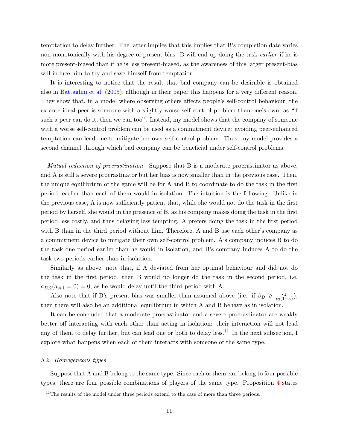temptation to delay further. The latter implies that this implies that B's completion date varies non-monotonically with his degree of present-bias: B will end up doing the task *earlier* if he is more present-biased than if he is less present-biased, as the awareness of this larger present-bias will induce him to try and save himself from temptation.

It is interesting to notice that the result that bad company can be desirable is obtained also in [Battaglini et al.](#page-27-2) [\(2005\)](#page-27-2), although in their paper this happens for a very different reason. They show that, in a model where observing others affects people's self-control behaviour, the ex-ante ideal peer is someone with a slightly worse self-control problem than one's own, as "if such a peer can do it, then we can too". Instead, my model shows that the company of someone with a worse self-control problem can be used as a commitment device: avoiding peer-enhanced temptation can lead one to mitigate her own self-control problem. Thus, my model provides a second channel through which bad company can be beneficial under self-control problems.

Mutual reduction of procrastination Suppose that B is a moderate procrastinator as above, and A is still a severe procrastinator but her bias is now smaller than in the previous case. Then, the unique equilibrium of the game will be for A and B to coordinate to do the task in the first period, earlier than each of them would in isolation. The intuition is the following. Unlike in the previous case, A is now sufficiently patient that, while she would not do the task in the first period by herself, she would in the presence of B, as his company makes doing the task in the first period less costly, and thus delaying less tempting. A prefers doing the task in the first period with B than in the third period without him. Therefore, A and B use each other's company as a commitment device to mitigate their own self-control problem. A's company induces B to do the task one period earlier than he would in isolation, and B's company induces A to do the task two periods earlier than in isolation.

Similarly as above, note that, if A deviated from her optimal behaviour and did not do the task in the first period, then B would no longer do the task in the second period, i.e.  $a_{B,2}(a_{A,1}=0) = 0$ , as he would delay until the third period with A.

Also note that if B's present-bias was smaller than assumed above (i.e. if  $\beta_B \geq \frac{c_2}{c_2(1-\beta)}$  $\frac{c_2}{c_3(1-\kappa)}$ ), then there will also be an additional equilibrium in which A and B behave as in isolation.

It can be concluded that a moderate procrastinator and a severe procrastinator are weakly better off interacting with each other than acting in isolation: their interaction will not lead any of them to delay further, but can lead one or both to delay less.<sup>[11](#page-2-0)</sup> In the next subsection, I explore what happens when each of them interacts with someone of the same type.

#### <span id="page-12-0"></span>3.2. Homogeneous types

Suppose that A and B belong to the same type. Since each of them can belong to four possible types, there are four possible combinations of players of the same type. Proposition [4](#page-13-0) states

 $11$ The results of the model under three periods extend to the case of more than three periods.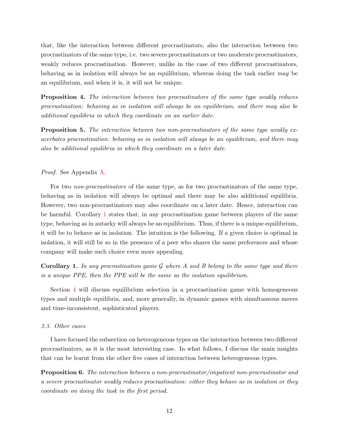that, like the interaction between different procrastinators, also the interaction between two procrastinators of the same type, i.e. two severe procrastinators or two moderate procrastinators, weakly reduces procrastination. However, unlike in the case of two different procrastinators, behaving as in isolation will always be an equilibrium, whereas doing the task earlier may be an equilibrium, and when it is, it will not be unique.

<span id="page-13-0"></span>**Proposition 4.** The interaction between two procrastinators of the same type weakly reduces procrastination: behaving as in isolation will always be an equilibrium, and there may also be additional equilibria in which they coordinate on an earlier date.

<span id="page-13-3"></span>Proposition 5. The interaction between two non-procrastinators of the same type weakly exacerbates procrastination: behaving as in isolation will always be an equilibrium, and there may also be additional equilibria in which they coordinate on a later date.

#### Proof. See Appendix [A.](#page-22-0)

For two non-procrastinators of the same type, as for two procrastinators of the same type, behaving as in isolation will always be optimal and there may be also additional equilibria. However, two non-procrastinators may also coordinate on a later date. Hence, interaction can be harmful. Corollary [1](#page-13-1) states that, in any procrastination game between players of the same type, behaving as in autarky will always be an equilibrium. Thus, if there is a unique equilibrium, it will be to behave as in isolation. The intuition is the following. If a given choice is optimal in isolation, it will still be so in the presence of a peer who shares the same preferences and whose company will make such choice even more appealing.

<span id="page-13-1"></span>**Corollary 1.** In any procrastination game G where A and B belong to the same type and there is a unique PPE, then the PPE will be the same as the isolation equilibrium.

Section [4](#page-14-0) will discuss equilibrium selection in a procrastination game with homogeneous types and multiple equilibria, and, more generally, in dynamic games with simultaneous moves and time-inconsistent, sophisticated players.

### 3.3. Other cases

I have focused the subsection on heterogeneous types on the interaction between two different procrastinators, as it is the most interesting case. In what follows, I discuss the main insights that can be learnt from the other five cases of interaction between heterogeneous types.

<span id="page-13-4"></span><span id="page-13-2"></span>Proposition 6. The interaction between a non-procrastinator/impatient non-procrastinator and a severe procrastinator weakly reduces procrastination: either they behave as in isolation or they coordinate on doing the task in the first period.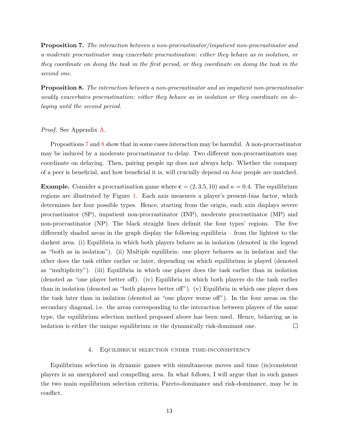Proposition 7. The interaction between a non-procrastinator/impatient non-procrastinator and a moderate procrastinator may exacerbate procrastination: either they behave as in isolation, or they coordinate on doing the task in the first period, or they coordinate on doing the task in the second one.

<span id="page-14-1"></span>Proposition 8. The interaction between a non-procrastinator and an impatient non-procrastinator weakly exacerbates procrastination: either they behave as in isolation or they coordinate on delaying until the second period.

## Proof. See Appendix [A.](#page-22-0)

Propositions [7](#page-13-2) and [8](#page-14-1) show that in some cases interaction may be harmful. A non-procrastinator may be induced by a moderate procrastinator to delay. Two different non-procrastinators may coordinate on delaying. Then, pairing people up does not always help. Whether the company of a peer is beneficial, and how beneficial it is, will crucially depend on how people are matched.

**Example.** Consider a procrastination game where  $\mathbf{c} = (2, 3.5, 10)$  and  $\kappa = 0.4$ . The equilibrium regions are illustrated by Figure [1.](#page-15-0) Each axis measures a player's present-bias factor, which determines her four possible types. Hence, starting from the origin, each axis displays severe procrastinator (SP), impatient non-procrastinator (INP), moderate procrastinator (MP) and non-procrastinator (NP). The black straight lines delimit the four types' regions. The five differently shaded areas in the graph display the following equilibria – from the lightest to the darkest area. (i) Equilibria in which both players behave as in isolation (denoted in the legend as "both as in isolation"). (ii) Multiple equilibria: one player behaves as in isolation and the other does the task either earlier or later, depending on which equilibrium is played (denoted as "multiplicity"). (iii) Equilibria in which one player does the task earlier than in isolation (denoted as "one player better off). (iv) Equilibria in which both players do the task earlier than in isolation (denoted as "both players better off"). (v) Equilibria in which one player does the task later than in isolation (denoted as "one player worse off"). In the four areas on the secondary diagonal, i.e. the areas corresponding to the interaction between players of the same type, the equilibrium selection method proposed above has been used. Hence, behaving as in isolation is either the unique equilibrium or the dynamically risk-dominant one.  $\Box$ 

## 4. Equilibrium selection under time-inconsistency

<span id="page-14-0"></span>Equilibrium selection in dynamic games with simultaneous moves and time (in)consistent players is an unexplored and compelling area. In what follows, I will argue that in such games the two main equilibrium selection criteria, Pareto-dominance and risk-dominance, may be in conflict.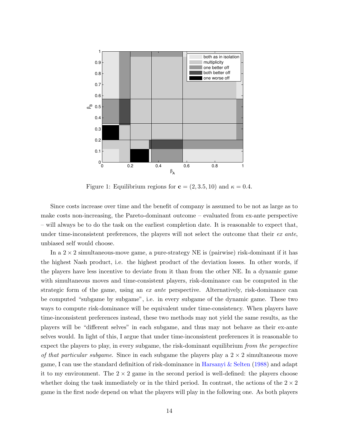<span id="page-15-0"></span>

Figure 1: Equilibrium regions for  $\mathbf{c} = (2, 3.5, 10)$  and  $\kappa = 0.4$ .

Since costs increase over time and the benefit of company is assumed to be not as large as to make costs non-increasing, the Pareto-dominant outcome – evaluated from ex-ante perspective – will always be to do the task on the earliest completion date. It is reasonable to expect that, under time-inconsistent preferences, the players will not select the outcome that their  $ex$  ante, unbiased self would choose.

In a  $2 \times 2$  simultaneous-move game, a pure-strategy NE is (pairwise) risk-dominant if it has the highest Nash product, i.e. the highest product of the deviation losses. In other words, if the players have less incentive to deviate from it than from the other NE. In a dynamic game with simultaneous moves and time-consistent players, risk-dominance can be computed in the strategic form of the game, using an ex ante perspective. Alternatively, risk-dominance can be computed "subgame by subgame", i.e. in every subgame of the dynamic game. These two ways to compute risk-dominance will be equivalent under time-consistency. When players have time-inconsistent preferences instead, these two methods may not yield the same results, as the players will be "different selves" in each subgame, and thus may not behave as their ex-ante selves would. In light of this, I argue that under time-inconsistent preferences it is reasonable to expect the players to play, in every subgame, the risk-dominant equilibrium from the perspective of that particular subgame. Since in each subgame the players play a  $2 \times 2$  simultaneous move game, I can use the standard definition of risk-dominance in [Harsanyi & Selten](#page-28-8) [\(1988\)](#page-28-8) and adapt it to my environment. The  $2 \times 2$  game in the second period is well-defined: the players choose whether doing the task immediately or in the third period. In contrast, the actions of the  $2 \times 2$ game in the first node depend on what the players will play in the following one. As both players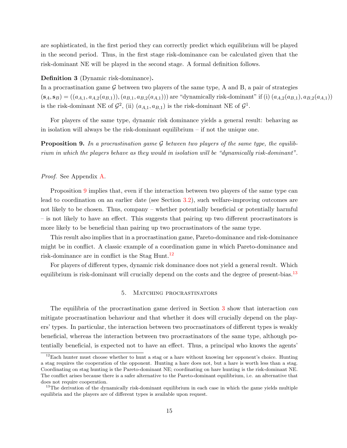are sophisticated, in the first period they can correctly predict which equilibrium will be played in the second period. Thus, in the first stage risk-dominance can be calculated given that the risk-dominant NE will be played in the second stage. A formal definition follows.

## Definition 3 (Dynamic risk-dominance).

In a procrastination game  $\mathcal G$  between two players of the same type, A and B, a pair of strategies  $(s_A, s_B) = ((a_{A,1}, a_{A,2}(a_{B,1})), (a_{B,1}, a_{B,2}(a_{A,1})))$  are "dynamically risk-dominant" if (i)  $(a_{A,2}(a_{B,1}), a_{B,2}(a_{A,1}))$ is the risk-dominant NE of  $\mathcal{G}^2$ , (ii)  $(a_{A,1}, a_{B,1})$  is the risk-dominant NE of  $\mathcal{G}^1$ .

For players of the same type, dynamic risk dominance yields a general result: behaving as in isolation will always be the risk-dominant equilibrium – if not the unique one.

<span id="page-16-1"></span>**Proposition 9.** In a procrastination game G between two players of the same type, the equilibrium in which the players behave as they would in isolation will be "dynamically risk-dominant".

## Proof. See Appendix [A.](#page-22-0)

Proposition [9](#page-16-1) implies that, even if the interaction between two players of the same type can lead to coordination on an earlier date (see Section [3.2\)](#page-12-0), such welfare-improving outcomes are not likely to be chosen. Thus, company – whether potentially beneficial or potentially harmful – is not likely to have an effect. This suggests that pairing up two different procrastinators is more likely to be beneficial than pairing up two procrastinators of the same type.

This result also implies that in a procrastination game, Pareto-dominance and risk-dominance might be in conflict. A classic example of a coordination game in which Pareto-dominance and risk-dominance are in conflict is the Stag Hunt.<sup>[12](#page-2-0)</sup>

<span id="page-16-0"></span>For players of different types, dynamic risk dominance does not yield a general result. Which equilibrium is risk-dominant will crucially depend on the costs and the degree of present-bias.<sup>[13](#page-2-0)</sup>

## 5. Matching procrastinators

The equilibria of the procrastination game derived in Section [3](#page-9-0) show that interaction can mitigate procrastination behaviour and that whether it does will crucially depend on the players' types. In particular, the interaction between two procrastinators of different types is weakly beneficial, whereas the interaction between two procrastinators of the same type, although potentially beneficial, is expected not to have an effect. Thus, a principal who knows the agents'

<sup>&</sup>lt;sup>12</sup>Each hunter must choose whether to hunt a stag or a hare without knowing her opponent's choice. Hunting a stag requires the cooperation of the opponent. Hunting a hare does not, but a hare is worth less than a stag. Coordinating on stag hunting is the Pareto-dominant NE; coordinating on hare hunting is the risk-dominant NE. The conflict arises because there is a safer alternative to the Pareto-dominant equilibrium, i.e. an alternative that does not require cooperation.

<sup>&</sup>lt;sup>13</sup>The derivation of the dynamically risk-dominant equilibrium in each case in which the game yields multiple equilibria and the players are of different types is available upon request.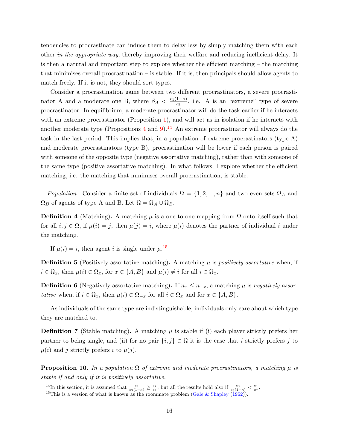tendencies to procrastinate can induce them to delay less by simply matching them with each other in the appropriate way, thereby improving their welfare and reducing inefficient delay. It is then a natural and important step to explore whether the efficient matching – the matching that minimises overall procrastination – is stable. If it is, then principals should allow agents to match freely. If it is not, they should sort types.

Consider a procrastination game between two different procrastinators, a severe procrastinator A and a moderate one B, where  $\beta_A < \frac{c_1(1-\kappa)}{c_3}$  $\frac{1-\kappa}{c_3}$ , i.e. A is an "extreme" type of severe procrastinator. In equilibrium, a moderate procrastinator will do the task earlier if he interacts with an extreme procrastinator (Proposition [1\)](#page-11-0), and will act as in isolation if he interacts with another moderate type (Propositions [4](#page-13-0) and [9\)](#page-16-1).<sup>[14](#page-2-0)</sup> An extreme procrastinator will always do the task in the last period. This implies that, in a population of extreme procrastinators (type A) and moderate procrastinators (type B), procrastination will be lower if each person is paired with someone of the opposite type (negative assortative matching), rather than with someone of the same type (positive assortative matching). In what follows, I explore whether the efficient matching, i.e. the matching that minimises overall procrastination, is stable.

*Population* Consider a finite set of individuals  $\Omega = \{1, 2, ..., n\}$  and two even sets  $\Omega_A$  and  $\Omega_B$  of agents of type A and B. Let  $\Omega = \Omega_A \cup \Omega_B$ .

**Definition 4** (Matching). A matching  $\mu$  is a one to one mapping from  $\Omega$  onto itself such that for all  $i, j \in \Omega$ , if  $\mu(i) = j$ , then  $\mu(j) = i$ , where  $\mu(i)$  denotes the partner of individual i under the matching.

If  $\mu(i) = i$ , then agent i is single under  $\mu$ .<sup>[15](#page-2-0)</sup>

**Definition 5** (Positively assortative matching). A matching  $\mu$  is *positively assortative* when, if  $i \in \Omega_x$ , then  $\mu(i) \in \Omega_x$ , for  $x \in \{A, B\}$  and  $\mu(i) \neq i$  for all  $i \in \Omega_x$ .

**Definition 6** (Negatively assortative matching). If  $n_x \leq n_{-x}$ , a matching  $\mu$  is negatively assortative when, if  $i \in \Omega_x$ , then  $\mu(i) \in \Omega_{-x}$  for all  $i \in \Omega_x$  and for  $x \in \{A, B\}$ .

As individuals of the same type are indistinguishable, individuals only care about which type they are matched to.

**Definition 7** (Stable matching). A matching  $\mu$  is stable if (i) each player strictly prefers her partner to being single, and (ii) for no pair  $\{i, j\} \in \Omega$  it is the case that i strictly prefers j to  $\mu(i)$  and j strictly prefers i to  $\mu(j)$ .

<span id="page-17-0"></span>**Proposition 10.** In a population  $\Omega$  of extreme and moderate procrastinators, a matching  $\mu$  is stable if and only if it is positively assortative.

<sup>&</sup>lt;sup>14</sup>In this section, it is assumed that  $\frac{c_2}{c_3(1-\kappa)} \ge \frac{c_1}{c_2}$ , but all the results hold also if  $\frac{c_2}{c_3(1-\kappa)} < \frac{c_1}{c_2}$ .

<sup>&</sup>lt;sup>15</sup>This is a version of what is known as the roommate problem [\(Gale & Shapley](#page-27-5) [\(1962\)](#page-27-5)).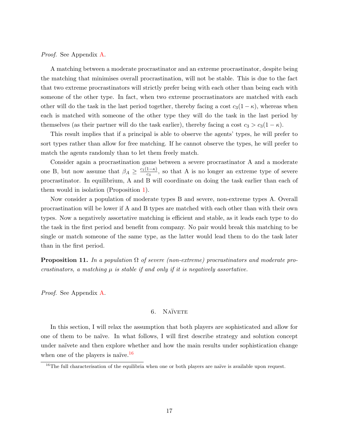Proof. See Appendix [A.](#page-22-0)

A matching between a moderate procrastinator and an extreme procrastinator, despite being the matching that minimises overall procrastination, will not be stable. This is due to the fact that two extreme procrastinators will strictly prefer being with each other than being each with someone of the other type. In fact, when two extreme procrastinators are matched with each other will do the task in the last period together, thereby facing a cost  $c_3(1 - \kappa)$ , whereas when each is matched with someone of the other type they will do the task in the last period by themselves (as their partner will do the task earlier), thereby facing a cost  $c_3 > c_3(1 - \kappa)$ .

This result implies that if a principal is able to observe the agents' types, he will prefer to sort types rather than allow for free matching. If he cannot observe the types, he will prefer to match the agents randomly than to let them freely match.

Consider again a procrastination game between a severe procrastinator A and a moderate one B, but now assume that  $\beta_A \geq \frac{c_1(1-\kappa)}{c_3}$  $\frac{1-\kappa}{c_3}$ , so that A is no longer an extreme type of severe procrastinator. In equilibrium, A and B will coordinate on doing the task earlier than each of them would in isolation (Proposition [1\)](#page-11-0).

Now consider a population of moderate types B and severe, non-extreme types A. Overall procrastination will be lower if A and B types are matched with each other than with their own types. Now a negatively assortative matching is efficient and stable, as it leads each type to do the task in the first period and benefit from company. No pair would break this matching to be single or match someone of the same type, as the latter would lead them to do the task later than in the first period.

<span id="page-18-1"></span>**Proposition 11.** In a population  $\Omega$  of severe (non-extreme) procrastinators and moderate procrastinators, a matching  $\mu$  is stable if and only if it is negatively assortative.

<span id="page-18-0"></span>Proof. See Appendix [A.](#page-22-0)

## 6. NAÏVETE

In this section, I will relax the assumption that both players are sophisticated and allow for one of them to be naïve. In what follows, I will first describe strategy and solution concept under naïvete and then explore whether and how the main results under sophistication change when one of the players is naïve.<sup>[16](#page-2-0)</sup>

 $16$ The full characterisation of the equilibria when one or both players are naïve is available upon request.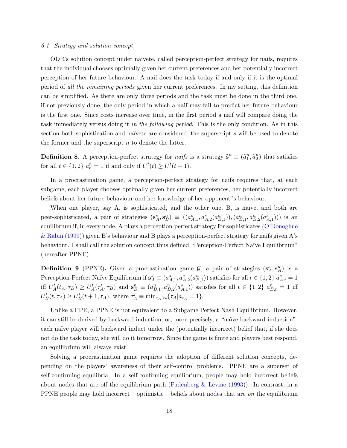#### 6.1. Strategy and solution concept

ODR's solution concept under na¨ıvete, called perception-perfect strategy for naifs, requires that the individual chooses optimally given her current preferences and her potentially incorrect perception of her future behaviour. A naif does the task today if and only if it is the optimal period of all the remaining periods given her current preferences. In my setting, this definition can be simplified. As there are only three periods and the task must be done in the third one, if not previously done, the only period in which a naif may fail to predict her future behaviour is the first one. Since costs increase over time, in the first period a naif will compare doing the task immediately versus doing it in the following period. This is the only condition. As in this section both sophistication and naïvete are considered, the superscript s will be used to denote the former and the superscript  $n$  to denote the latter.

**Definition 8.** A perception-perfect strategy for *naifs* is a strategy  $\tilde{\mathbf{s}}^n \equiv (\tilde{a}_1^n, \tilde{a}_2^n)$  that satisfies for all  $t \in \{1,2\}$   $\tilde{a}_t^n = 1$  if and only if  $U^t(t) \ge U^t(t+1)$ .

In a procrastination game, a perception-perfect strategy for naifs requires that, at each subgame, each player chooses optimally given her current preferences, her potentially incorrect beliefs about her future behaviour and her knowledge of her opponent"s behaviour.

When one player, say A, is sophisticated, and the other one, B, is naïve, and both are peer-sophisticated, a pair of strategies  $(s_A^s, s_B^n) \equiv ((a_{A,1}^s, a_{A,2}^s(a_{B,1}^n)), (a_{B,1}^n, a_{B,2}^n(a_{A,1}^s)))$  is an equilibrium if, in every node, A plays a perception-perfect strategy for sophisticates [\(O'Donoghue](#page-28-1) [& Rabin](#page-28-1) [\(1999\)](#page-28-1)) given B's behaviour and B plays a perception-perfect strategy for naifs given A's behaviour. I shall call the solution concept thus defined "Perception-Perfect Naïve Equilibrium" (hereafter PPNE).

**Definition 9** (PPNE). Given a procrastination game  $\mathcal{G}$ , a pair of strategies  $(\mathbf{s}_A^s, \mathbf{s}_B^n)$  is a Perception-Perfect Naïve Equilibrium if  $s_A^s \equiv (a_{A,1}^s, a_{A,2}^s(a_{B,1}^n))$  satisfies for all  $t \in \{1,2\}$   $a_{A,t}^s = 1$ iff  $U_A^t(t_A, \tau_B) \geq U_A^t(\tau_A', \tau_B)$  and  $\mathbf{s}_B^n \equiv (a_{B,1}^n, a_{B,2}^n(a_{A,1}^s))$  satisfies for all  $t \in \{1,2\}$   $a_{B,t}^n = 1$  iff  $U^t_B(t, \tau_A) \ge U^t_B(t+1, \tau_A)$ , where  $\tau'_A \equiv \min_{\tau_A > t} {\tau_A | a_{\tau_A} = 1}.$ 

Unlike a PPE, a PPNE is not equivalent to a Subgame Perfect Nash Equilibrium. However, it can still be derived by backward induction, or, more precisely, a "na¨ıve backward induction": each naïve player will backward induct under the (potentially incorrect) belief that, if she does not do the task today, she will do it tomorrow. Since the game is finite and players best respond, an equilibrium will always exist.

Solving a procrastination game requires the adoption of different solution concepts, depending on the players' awareness of their self-control problems. PPNE are a superset of self-confirming equilibria. In a self-confirming equilibrium, people may hold incorrect beliefs about nodes that are off the equilibrium path (Fudenberg  $\&$  Levine [\(1993\)](#page-27-6)). In contrast, in a PPNE people may hold incorrect – optimistic – beliefs about nodes that are *on* the equilibrium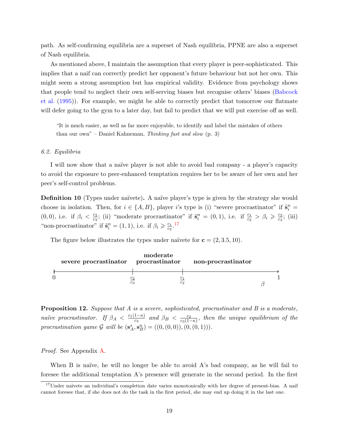path. As self-confirming equilibria are a superset of Nash equilibria, PPNE are also a superset of Nash equilibria.

As mentioned above, I maintain the assumption that every player is peer-sophisticated. This implies that a naif can correctly predict her opponent's future behaviour but not her own. This might seem a strong assumption but has empirical validity. Evidence from psychology shows that people tend to neglect their own self-serving biases but recognise others' biases [\(Babcock](#page-27-7) [et al.](#page-27-7) [\(1995\)](#page-27-7)). For example, we might be able to correctly predict that tomorrow our flatmate will defer going to the gym to a later day, but fail to predict that we will put exercise off as well.

"It is much easier, as well as far more enjoyable, to identify and label the mistakes of others than our own" – Daniel Kahneman, Thinking fast and slow  $(p, 3)$ 

#### 6.2. Equilibria

I will now show that a naïve player is not able to avoid bad company - a player's capacity to avoid the exposure to peer-enhanced temptation requires her to be aware of her own and her peer's self-control problems.

**Definition 10** (Types under naïvete). A naïve player's type is given by the strategy she would choose in isolation. Then, for  $i \in \{A, B\}$ , player i's type is (i) "severe procrastinator" if  $\tilde{\mathbf{s}}_i^n =$  $(0, 0)$ , i.e. if  $\beta_i < \frac{c_2}{c_2}$  $\frac{c_2}{c_3}$ ; (ii) "moderate procrastinator" if  $\tilde{\mathbf{s}}_i^n = (0,1)$ , i.e. if  $\frac{c_1}{c_2} > \beta_i \geqslant \frac{c_2}{c_3}$  $\frac{c_2}{c_3}$ ; (iii) "non-procrastinator" if  $\tilde{\mathbf{s}}_i^n = (1, 1)$ , i.e. if  $\beta_i \geqslant \frac{c_1}{c_2}$  $rac{c_1}{c_2}$ .<sup>[17](#page-2-0)</sup>

The figure below illustrates the types under naïvete for  $c = (2, 3.5, 10)$ .

|  | severe procrastinator procrastinator | moderate                         | non-procrastinator |  |
|--|--------------------------------------|----------------------------------|--------------------|--|
|  |                                      | $^{c_2}$<br>c <sub>2</sub><br>CЗ |                    |  |

<span id="page-20-0"></span>**Proposition 12.** Suppose that A is a severe, sophisticated, procrastinator and B is a moderate, naïve procrastinator. If  $\beta_A < \frac{c_1(1-\kappa)}{c_3}$  $\frac{1-\kappa)}{c_3}$  and  $\beta_B < \frac{c_2}{c_3(1-\kappa)}$  $\frac{c_2}{c_3(1-\kappa)}$ , then the unique equilibrium of the procrastination game  $G$  will be  $(s_A^s, s_B^n) = ((0, (0, 0)), (0, (0, 1))).$ 

Proof. See Appendix [A.](#page-22-0)

When B is naïve, he will no longer be able to avoid A's bad company, as he will fail to foresee the additional temptation A's presence will generate in the second period. In the first

<sup>&</sup>lt;sup>17</sup>Under naïvete an individual's completion date varies monotonically with her degree of present-bias. A naif cannot foresee that, if she does not do the task in the first period, she may end up doing it in the last one.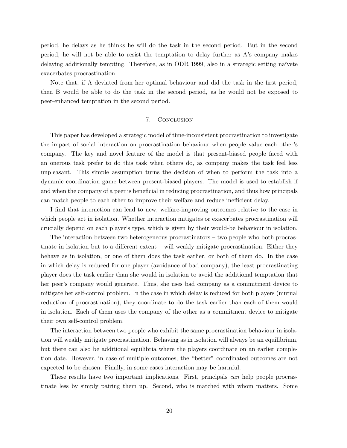period, he delays as he thinks he will do the task in the second period. But in the second period, he will not be able to resist the temptation to delay further as A's company makes delaying additionally tempting. Therefore, as in ODR 1999, also in a strategic setting naïvete exacerbates procrastination.

<span id="page-21-0"></span>Note that, if A deviated from her optimal behaviour and did the task in the first period, then B would be able to do the task in the second period, as he would not be exposed to peer-enhanced temptation in the second period.

## 7. Conclusion

This paper has developed a strategic model of time-inconsistent procrastination to investigate the impact of social interaction on procrastination behaviour when people value each other's company. The key and novel feature of the model is that present-biased people faced with an onerous task prefer to do this task when others do, as company makes the task feel less unpleasant. This simple assumption turns the decision of when to perform the task into a dynamic coordination game between present-biased players. The model is used to establish if and when the company of a peer is beneficial in reducing procrastination, and thus how principals can match people to each other to improve their welfare and reduce inefficient delay.

I find that interaction can lead to new, welfare-improving outcomes relative to the case in which people act in isolation. Whether interaction mitigates or exacerbates procrastination will crucially depend on each player's type, which is given by their would-be behaviour in isolation.

The interaction between two heterogeneous procrastinators – two people who both procrastinate in isolation but to a different extent – will weakly mitigate procrastination. Either they behave as in isolation, or one of them does the task earlier, or both of them do. In the case in which delay is reduced for one player (avoidance of bad company), the least procrastinating player does the task earlier than she would in isolation to avoid the additional temptation that her peer's company would generate. Thus, she uses bad company as a commitment device to mitigate her self-control problem. In the case in which delay is reduced for both players (mutual reduction of procrastination), they coordinate to do the task earlier than each of them would in isolation. Each of them uses the company of the other as a commitment device to mitigate their own self-control problem.

The interaction between two people who exhibit the same procrastination behaviour in isolation will weakly mitigate procrastination. Behaving as in isolation will always be an equilibrium, but there can also be additional equilibria where the players coordinate on an earlier completion date. However, in case of multiple outcomes, the "better" coordinated outcomes are not expected to be chosen. Finally, in some cases interaction may be harmful.

These results have two important implications. First, principals can help people procrastinate less by simply pairing them up. Second, who is matched with whom matters. Some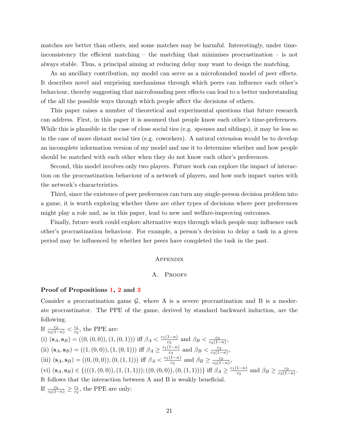matches are better than others, and some matches may be harmful. Interestingly, under timeinconsistency the efficient matching – the matching that minimises procrastination – is not always stable. Thus, a principal aiming at reducing delay may want to design the matching.

As an ancillary contribution, my model can serve as a microfounded model of peer effects. It describes novel and surprising mechanisms through which peers can influence each other's behaviour, thereby suggesting that microfounding peer effects can lead to a better understanding of the all the possible ways through which people affect the decisions of others.

This paper raises a number of theoretical and experimental questions that future research can address. First, in this paper it is assumed that people know each other's time-preferences. While this is plausible in the case of close social ties (e.g. spouses and siblings), it may be less so in the case of more distant social ties (e.g. coworkers). A natural extension would be to develop an incomplete information version of my model and use it to determine whether and how people should be matched with each other when they do not know each other's preferences.

Second, this model involves only two players. Future work can explore the impact of interaction on the procrastination behaviour of a network of players, and how such impact varies with the network's characteristics.

Third, since the existence of peer preferences can turn any single-person decision problem into a game, it is worth exploring whether there are other types of decisions where peer preferences might play a role and, as in this paper, lead to new and welfare-improving outcomes.

Finally, future work could explore alternative ways through which people may influence each other's procrastination behaviour. For example, a person's decision to delay a task in a given period may be influenced by whether her peers have completed the task in the past.

#### **APPENDIX**

#### A. PROOFS

#### <span id="page-22-0"></span>Proof of Propositions [1,](#page-11-0) [2](#page-11-1) and [3](#page-11-2)

Consider a procrastination game  $G$ , where A is a severe procrastination and B is a moderate procrastinator. The PPE of the game, derived by standard backward induction, are the following.

If  $\frac{c_2}{c_3(1-\kappa)} < \frac{c_1}{c_2}$  $\frac{c_1}{c_2}$ , the PPE are: (i)  $(\mathbf{s}_A, \mathbf{s}_B) = ((0, (0, 0)), (1, (0, 1)))$  iff  $\beta_A < \frac{c_1(1-\kappa)}{c_2}$  $\frac{1-\kappa)}{c_3}$  and  $\beta_B < \frac{c_2}{c_3(1-\kappa)}$  $\frac{c_2}{c_3(1-\kappa)},$ (ii)  $(\mathbf{s}_A, \mathbf{s}_B) = ((1, (0, 0)), (1, (0, 1)))$  iff  $\beta_A \geq \frac{c_1(1-\kappa)}{c_3}$  $\frac{1-\kappa)}{c_3}$  and  $\beta_B < \frac{c_2}{c_3(1-\kappa)}$  $\frac{c_2}{c_3(1-\kappa)},$ (iii)  $(\mathbf{s}_A, \mathbf{s}_B) = ((0, (0, 0)), (0, (1, 1)))$  iff  $\beta_A < \frac{c_1(1-\kappa)}{c_3}$  $\frac{1-\kappa}{c_3}$  and  $\beta_B \geq \frac{c_2}{c_3(1-\kappa)}$  $\frac{c_2}{c_3(1-\kappa)},$ (vi)  $(\mathbf{s}_A, \mathbf{s}_B) \in \{((1, (0, 0)), (1, (1, 1))), ((0, (0, 0)), (0, (1, 1)))\}$  iff  $\beta_A \geq \frac{c_1(1-\kappa)}{c_2}$  $\frac{1-\kappa}{c_3}$  and  $\beta_B \geq \frac{c_2}{c_3(1-\kappa)}$  $\frac{c_2}{c_3(1-\kappa)}$ . It follows that the interaction between A and B is weakly beneficial. If  $\frac{c_2}{c_3(1-\kappa)} \geq \frac{c_1}{c_2}$  $\frac{c_1}{c_2}$ , the PPE are only: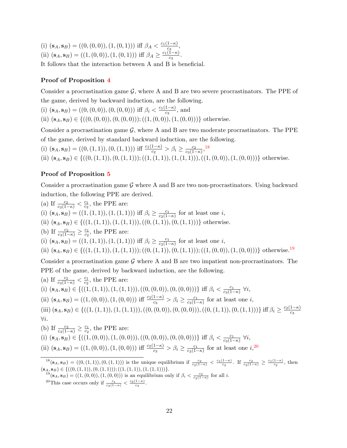(i)  $(\mathbf{s}_A, \mathbf{s}_B) = ((0, (0, 0)), (1, (0, 1)))$  iff  $\beta_A < \frac{c_1(1-\kappa)}{c_2}$  $rac{1-\kappa_j}{c_3},$ 

(ii)  $(\mathbf{s}_A, \mathbf{s}_B) = ((1, (0, 0)), (1, (0, 1)))$  iff  $\beta_A \geq \frac{c_1(1-\kappa)}{c_3}$  $\frac{1-\kappa_j}{c_3}$ .

It follows that the interaction between A and B is beneficial.

## Proof of Proposition [4](#page-13-0)

Consider a procrastination game  $\mathcal{G}$ , where A and B are two severe procrastinators. The PPE of the game, derived by backward induction, are the following.

(i)  $(\mathbf{s}_A, \mathbf{s}_B) = ((0, (0, 0)), (0, (0, 0)))$  iff  $\beta_i < \frac{c_1(1-\kappa)}{c_3}$  $\frac{1-\kappa_j}{c_3}$ , and

(ii)  $(s_A, s_B) \in \{((0, (0, 0)), (0, (0, 0))); ((1, (0, 0)), (1, (0, 0)))\}$  otherwise.

Consider a procrastination game  $G$ , where A and B are two moderate procrastinators. The PPE of the game, derived by standard backward induction, are the following.

(i)  $(\mathbf{s}_A, \mathbf{s}_B) = ((0, (1, 1)), (0, (1, 1)))$  iff  $\frac{c_1(1-\kappa)}{c_2} > \beta_i \ge \frac{c_2}{c_3(1-\kappa)}$  $\frac{c_2}{c_3(1-\kappa)}$ ,<sup>[18](#page-2-0)</sup>

(ii)  $(s_A, s_B) \in \{((0, (1, 1)), (0, (1, 1))); ((1, (1, 1)), (1, (1, 1))), ((1, (0, 0)), (1, (0, 0)))\}$  otherwise.

## Proof of Proposition [5](#page-13-3)

Consider a procrastination game  $\mathcal G$  where A and B are two non-procrastinators. Using backward induction, the following PPE are derived.

(a) If  $\frac{c_2}{c_3(1-\kappa)} < \frac{c_1}{c_2}$  $\frac{c_1}{c_2}$ , the PPE are:

(i)  $(\mathbf{s}_A, \mathbf{s}_B) = ((1, (1, 1)), (1, (1, 1)))$  iff  $\beta_i \geq \frac{c_1}{c_2(1-i)}$  $\frac{c_1}{c_2(1-\kappa)}$  for at least one *i*,

(ii)  $(\mathbf{s}_A, \mathbf{s}_B) \in \{((1, (1, 1)), (1, (1, 1))), ((0, (1, 1)), (0, (1, 1)))\}$  otherwise.

(b) If  $\frac{c_2}{c_3(1-\kappa)} \geq \frac{c_1}{c_2}$  $\frac{c_1}{c_2}$ , the PPE are:

(i)  $(\mathbf{s}_A, \mathbf{s}_B) = ((1, (1, 1)), (1, (1, 1)))$  iff  $\beta_i \geq \frac{c_1}{c_2(1-i)}$  $\frac{c_1}{c_2(1-\kappa)}$  for at least one *i*,

(ii)  $(s_A, s_B) \in \{((1, (1, 1)), (1, (1, 1))); ((0, (1, 1)), (0, (1, 1))); ((1, (0, 0)), (1, (0, 0)))\}$  otherwise.<sup>[19](#page-2-0)</sup>

Consider a procrastination game  $\mathcal G$  where A and B are two impatient non-procrastinators. The PPE of the game, derived by backward induction, are the following.

(a) If 
$$
\frac{c_2}{c_3(1-\kappa)} < \frac{c_1}{c_2}
$$
, the PPE are:  
\n(i)  $(\mathbf{s}_A, \mathbf{s}_B) \in \{((1, (1, 1)), (1, (1, 1))), ((0, (0, 0)), (0, (0, 0)))\}$  iff  $\beta_i < \frac{c_1}{c_3(1-\kappa)} \forall i$ ,  
\n(ii)  $(\mathbf{s}_A, \mathbf{s}_B) = ((1, (0, 0)), (1, (0, 0)))$  iff  $\frac{c_2(1-\kappa)}{c_3} > \beta_i \ge \frac{c_1}{c_3(1-\kappa)}$  for at least one *i*,  
\n(iii)  $(\mathbf{s}_A, \mathbf{s}_B) \in \{((1, (1, 1)), (1, (1, 1))), ((0, (0, 0)), (0, (0, 0))), ((0, (1, 1)), (0, (1, 1)))\}$  iff  $\beta_i \ge \frac{c_2(1-\kappa)}{c_3}$   
\n $\forall i$ .  
\n(b) If  $\frac{c_2}{c_3(1-\kappa)} \ge \frac{c_1}{c_2}$ , the PPE are:  
\n(i)  $(\mathbf{s}_A, \mathbf{s}_B) \in \{((1, (0, 0)), (1, (0, 0))), ((0, (0, 0)), (0, (0, 0)))\}$  iff  $\beta_i < \frac{c_1}{c_3(1-\kappa)} \forall i$ ,

(ii) 
$$
(\mathbf{s}_A, \mathbf{s}_B) = ((1, (0, 0)), (1, (0, 0)))
$$
 iff  $\frac{c_2(1-\kappa)}{c_3} > \beta_i \ge \frac{c_1}{c_3(1-\kappa)}$  for at least one  $i$ ,<sup>20</sup>

 $^{18}(\mathbf{s}_A, \mathbf{s}_B) = ((0, (1, 1)), (0, (1, 1)))$  is the unique equilibrium if  $\frac{c_2}{c_3(1-\kappa)} < \frac{c_1(1-\kappa)}{c_2}$ . If  $\frac{c_2}{c_3(1-\kappa)} \ge \frac{c_1(1-\kappa)}{c_2}$ , then  $(\mathbf{s}_A, \mathbf{s}_B) \in \{((0, (1, 1)), (0, (1, 1))); ((1, (1, 1)), (1, (1, 1)))\}.$ 

 $1^9(\mathbf{s}_A, \mathbf{s}_B) = ((1, (0, 0)), (1, (0, 0)))$  is an equilibrium only if  $\beta_i < \frac{c_2}{c_3(1-\kappa)}$  for all *i*.

<sup>20</sup>This case occurs only if  $\frac{c_1}{c_3(1-\kappa)} < \frac{c_2(1-\kappa)}{c_3}$ .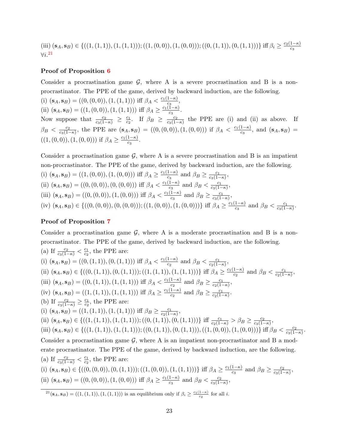(iii)  $(\mathbf{s}_A, \mathbf{s}_B) \in \{((1, (1, 1)), (1, (1, 1))); ((1, (0, 0)), (1, (0, 0))); ((0, (1, 1)), (0, (1, 1)))\}$  iff  $\beta_i \geq \frac{c_2(1-\kappa)}{c_2}$  $\overline{c_3}$  $\forall i.^{21}$  $\forall i.^{21}$  $\forall i.^{21}$ 

## Proof of Proposition [6](#page-13-4)

Consider a procrastination game  $\mathcal{G}$ , where A is a severe procrastination and B is a nonprocrastinator. The PPE of the game, derived by backward induction, are the following.

(i)  $(\mathbf{s}_A, \mathbf{s}_B) = ((0, (0, 0)), (1, (1, 1)))$  iff  $\beta_A < \frac{c_1(1-\kappa)}{c_2}$  $rac{1-\kappa_j}{c_3},$ (ii)  $(\mathbf{s}_A, \mathbf{s}_B) = ((1, (0, 0)), (1, (1, 1)))$  iff  $\beta_A \geq \frac{c_1(1-\kappa)}{c_3}$ 

 $\frac{1-\kappa_j}{c_3}$ . Now suppose that  $\frac{c_2}{c_3(1-\kappa)} \geq \frac{c_1}{c_2}$  $\frac{c_1}{c_2}$ . If  $\beta_B \geq \frac{c_2}{c_3(1-\beta)}$  $\frac{c_2}{c_3(1-\kappa)}$  the PPE are (i) and (ii) as above. If  $\beta_B < \frac{c_2}{c_3(1-\alpha)}$  $\frac{c_2}{c_3(1-\kappa)}$ , the PPE are  $(\mathbf{s}_A, \mathbf{s}_B) = ((0, (0, 0)), (1, (0, 0)))$  if  $\beta_A < \frac{c_1(1-\kappa)}{c_3}$  $\frac{1-\kappa}{c_3}$ , and  $(\mathbf{s}_A, \mathbf{s}_B)$  =  $((1,(0,0)),(1,(0,0)))$  if  $\beta_A \geq \frac{c_1(1-\kappa)}{c_2}$  $\frac{1-\kappa_j}{c_3}$ .

Consider a procrastination game  $\mathcal{G}$ , where A is a severe procrastination and B is an impatient non-procrastinator. The PPE of the game, derived by backward induction, are the following. (i)  $(\mathbf{s}_A, \mathbf{s}_B) = ((1, (0, 0)), (1, (0, 0)))$  iff  $\beta_A \geq \frac{c_1(1-\kappa)}{c_3}$  $\frac{1-\kappa}{c_3}$  and  $\beta_B \geq \frac{c_1}{c_3(1-\kappa)}$  $\frac{c_1}{c_3(1-\kappa)},$ (ii)  $(\mathbf{s}_A, \mathbf{s}_B) = ((0, (0, 0)), (0, (0, 0)))$  iff  $\beta_A < \frac{c_1(1-\kappa)}{c_2}$  $\frac{1-\kappa}{c_3}$  and  $\beta_B < \frac{c_1}{c_3(1-\kappa)}$  $\frac{c_1}{c_3(1-\kappa)},$ (iii)  $(\mathbf{s}_A, \mathbf{s}_B) = ((0, (0, 0)), (1, (0, 0)))$  iff  $\beta_A < \frac{c_1(1-\kappa)}{c_3}$  $\frac{1-\kappa}{c_3}$  and  $\beta_B \geq \frac{c_1}{c_3(1-\kappa)}$  $\frac{c_1}{c_3(1-\kappa)},$ (iv)  $(\mathbf{s}_A, \mathbf{s}_B) \in \{((0, (0, 0)), (0, (0, 0))); ((1, (0, 0)), (1, (0, 0)))\}$  iff  $\beta_A \geq \frac{c_1(1-\kappa)}{c_2}$  $\frac{1-\kappa)}{c_3}$  and  $\beta_B < \frac{c_1}{c_3(1-\kappa)}$  $\frac{c_1}{c_3(1-\kappa)}$ .

### Proof of Proposition [7](#page-13-2)

Consider a procrastination game  $G$ , where A is a moderate procrastination and B is a nonprocrastinator. The PPE of the game, derived by backward induction, are the following. (a) If  $\frac{c_2}{c_3(1-\kappa)} < \frac{c_1}{c_2}$  $\frac{c_1}{c_2}$ , the PPE are:

(i)  $(\mathbf{s}_A, \mathbf{s}_B) = ((0, (1, 1)), (0, (1, 1)))$  iff  $\beta_A < \frac{c_1(1-\kappa)}{c_2}$  $\frac{1-\kappa)}{c_2}$  and  $\beta_B < \frac{c_1}{c_2(1-\kappa)}$  $\frac{c_1}{c_2(1-\kappa)},$ (ii)  $(\mathbf{s}_A, \mathbf{s}_B) \in \{((0, (1, 1)), (0, (1, 1))); ((1, (1, 1)), (1, (1, 1)))\}$  iff  $\beta_A \geq \frac{c_1(1-\kappa)}{c_2}$  $\frac{1-\kappa)}{c_2}$  and  $\beta_B < \frac{c_1}{c_2(1-\kappa)}$  $\frac{c_1}{c_2(1-\kappa)},$ (iii)  $(\mathbf{s}_A, \mathbf{s}_B) = ((0, (1, 1)), (1, (1, 1)))$  iff  $\beta_A < \frac{c_1(1-\kappa)}{c_2}$  $\frac{1-\kappa}{c_2}$  and  $\beta_B \geq \frac{c_1}{c_2(1-\kappa)}$  $\frac{c_1}{c_2(1-\kappa)},$ (iv)  $(\mathbf{s}_A, \mathbf{s}_B) = ((1, (1, 1)), (1, (1, 1)))$  iff  $\beta_A \geq \frac{c_1(1-\kappa)}{c_2}$  $\frac{1-\kappa)}{c_2}$  and  $\beta_B \geq \frac{c_1}{c_2(1-\kappa)}$  $\frac{c_1}{c_2(1-\kappa)}$ . (b) If  $\frac{c_2}{c_3(1-\kappa)} \geq \frac{c_1}{c_2}$  $\frac{c_1}{c_2}$ , the PPE are: (i)  $(\mathbf{s}_A, \mathbf{s}_B) = ((1, (1, 1)), (1, (1, 1)))$  iff  $\beta_B \ge \frac{c_1}{c_2(1-1)}$  $\frac{c_1}{c_2(1-\kappa)},$ (ii)  $(\mathbf{s}_A, \mathbf{s}_B) \in \{((1, (1, 1)), (1, (1, 1))); ((0, (1, 1)), (0, (1, 1)))\}$  iff  $\frac{c_1}{c_2(1-\kappa)} > \beta_B \ge \frac{c_2}{c_3(1-\kappa)}$  $\frac{c_2}{c_3(1-\kappa)},$ (iii)  $(\mathbf{s}_A, \mathbf{s}_B) \in \{((1, (1, 1)), (1, (1, 1))); ((0, (1, 1)), (0, (1, 1))), ((1, (0, 0)), (1, (0, 0)))\}$  iff  $\beta_B < \frac{c_2}{c_2(1-1)}$  $\frac{c_2}{c_3(1-\kappa)}$ . Consider a procrastination game  $G$ , where A is an impatient non-procrastinator and B a moderate procrastinator. The PPE of the game, derived by backward induction, are the following. (a) If  $\frac{c_2}{c_3(1-\kappa)} < \frac{c_1}{c_2}$  $\frac{c_1}{c_2}$ , the PPE are: (i)  $(\mathbf{s}_A, \mathbf{s}_B) \in \{((0, (0, 0)), (0, (1, 1))), ((1, (0, 0)), (1, (1, 1)))\}$  iff  $\beta_A \geq \frac{c_1(1-\kappa)}{c_3}$  $\frac{1-\kappa}{c_3}$  and  $\beta_B \geq \frac{c_2}{c_3(1-\kappa)}$  $\frac{c_2}{c_3(1-\kappa)},$ 

(ii) 
$$
(\mathbf{s}_A, \mathbf{s}_B) = ((0, (0, 0)), (1, (0, 0)))
$$
 iff  $\beta_A \ge \frac{c_1(1-\kappa)}{c_3}$  and  $\beta_B < \frac{c_2}{c_3(1-\kappa)}$ ,

 $2^{1}(s_{A}, s_{B}) = ((1, (1, 1)), (1, (1, 1)))$  is an equilibrium only if  $\beta_{i} \geq \frac{c_{1}(1-\kappa)}{c_{2}}$  for all *i*.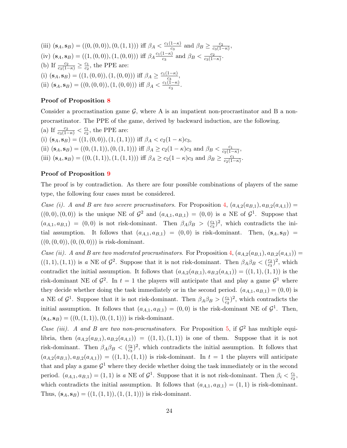(iii)  $(\mathbf{s}_A, \mathbf{s}_B) = ((0, (0, 0)), (0, (1, 1)))$  iff  $\beta_A < \frac{c_1(1-\kappa)}{c_2}$  $\frac{1-\kappa}{c_3}$  and  $\beta_B \geq \frac{c_2}{c_3(1-\kappa)}$  $\frac{c_2}{c_3(1-\kappa)},$ (iv)  $(\mathbf{s}_A, \mathbf{s}_B) = ((1, (0, 0)), (1, (0, 0)))$  iff  $\beta_A \frac{c_1(1-\kappa)}{c_3}$  $\frac{1-\kappa)}{c_3}$  and  $\beta_B < \frac{c_2}{c_3(1-\kappa)}$  $\frac{c_2}{c_3(1-\kappa)}$ . (b) If  $\frac{c_2}{c_3(1-\kappa)} \geq \frac{c_1}{c_2}$  $\frac{c_1}{c_2}$ , the PPE are: (i)  $(\mathbf{s}_A, \mathbf{s}_B) = ((1, (0, 0)), (1, (0, 0)))$  iff  $\beta_A \geq \frac{c_1(1-\kappa)}{c_2}$  $rac{1-\kappa_j}{c_3},$ (ii)  $(\mathbf{s}_A, \mathbf{s}_B) = ((0, (0, 0)), (1, (0, 0)))$  iff  $\beta_A < \frac{c_1(1-\kappa)}{c_2}$  $\frac{1-\kappa_j}{c_3}$ .

### Proof of Proposition [8](#page-14-1)

Consider a procrastination game  $\mathcal{G}$ , where A is an impatient non-procrastinator and B a nonprocrastinator. The PPE of the game, derived by backward induction, are the following.

(a) If  $\frac{c_2}{c_3(1-\kappa)} < \frac{c_1}{c_2}$  $\frac{c_1}{c_2}$ , the PPE are: (i)  $(\mathbf{s}_A, \mathbf{s}_B) = ((1, (0, 0)), (1, (1, 1)))$  iff  $\beta_A < c_2(1 - \kappa)c_3$ , (ii)  $(\mathbf{s}_A, \mathbf{s}_B) = ((0, (1, 1)), (0, (1, 1)))$  iff  $\beta_A \ge c_2(1 - \kappa)c_3$  and  $\beta_B < \frac{c_1}{c_2(1 - \kappa)c_3}$  $\frac{c_1}{c_2(1-\kappa)},$ (iii)  $(\mathbf{s}_A, \mathbf{s}_B) = ((0, (1, 1)), (1, (1, 1)))$  iff  $\beta_A \ge c_2(1 - \kappa)c_3$  and  $\beta_B \ge \frac{c_1}{c_2(1 - \kappa)c_3}$  $\frac{c_1}{c_2(1-\kappa)}$ .

## Proof of Proposition [9](#page-16-1)

The proof is by contradiction. As there are four possible combinations of players of the same type, the following four cases must be considered.

Case (i). A and B are two severe procrastinators. For Proposition [4,](#page-13-0)  $(a_{A,2}(a_{B,1}), a_{B,2}(a_{A,1})) =$  $((0,0),(0,0))$  is the unique NE of  $\mathcal{G}^2$  and  $(a_{A,1}, a_{B,1}) = (0,0)$  is a NE of  $\mathcal{G}^1$ . Suppose that  $(a_{A,1}, a_{B,1}) = (0,0)$  is not risk-dominant. Then  $\beta_A \beta_B > (\frac{c_1}{c_2})$  $\frac{c_1}{c_3}$ <sup>2</sup>, which contradicts the initial assumption. It follows that  $(a_{A,1}, a_{B,1}) = (0,0)$  is risk-dominant. Then,  $(\mathbf{s}_A, \mathbf{s}_B)$  =  $((0, (0, 0)), (0, (0, 0)))$  is risk-dominant.

Case (ii). A and B are two moderated procrastinators. For Proposition [4,](#page-13-0)  $(a_{A,2}(a_{B,1}), a_{B,2}(a_{A,1})) =$  $((1, 1), (1, 1))$  is a NE of  $\mathcal{G}^2$ . Suppose that it is not risk-dominant. Then  $\beta_A \beta_B < (\frac{c_2}{c_3})$  $\frac{c_2}{c_3}$ )<sup>2</sup>, which contradict the initial assumption. It follows that  $(a_{A,2}(a_{B,1}), a_{B,2}(a_{A,1})) = ((1,1), (1,1))$  is the risk-dominant NE of  $\mathcal{G}^2$ . In  $t=1$  the players will anticipate that and play a game  $\mathcal{G}^1$  where they decide whether doing the task immediately or in the second period.  $(a_{A,1}, a_{B,1}) = (0,0)$  is a NE of  $\mathcal{G}^1$ . Suppose that it is not risk-dominant. Then  $\beta_A \beta_B > (\frac{c_1}{c_2})$  $\frac{c_1}{c_2}$ <sup>2</sup>, which contradicts the initial assumption. It follows that  $(a_{A,1}, a_{B,1}) = (0,0)$  is the risk-dominant NE of  $\mathcal{G}^1$ . Then,  $(\mathbf{s}_A, \mathbf{s}_B) = ((0, (1, 1)), (0, (1, 1)))$  is risk-dominant.

Case (iii). A and B are two non-procrastinators. For Proposition [5,](#page-13-3) if  $\mathcal{G}^2$  has multiple equilibria, then  $(a_{A,2}(a_{B,1}), a_{B,2}(a_{A,1})) = ((1,1), (1,1))$  is one of them. Suppose that it is not risk-dominant. Then  $\beta_A \beta_B < (\frac{c_2}{c_3})$  $\frac{c_2}{c_3}$ )<sup>2</sup>, which contradicts the initial assumption. It follows that  $(a_{A,2}(a_{B,1}), a_{B,2}(a_{A,1})) = ((1,1), (1,1))$  is risk-dominant. In  $t = 1$  the players will anticipate that and play a game  $\mathcal{G}^1$  where they decide whether doing the task immediately or in the second period.  $(a_{A,1}, a_{B,1}) = (1, 1)$  is a NE of  $\mathcal{G}^1$ . Suppose that it is not risk-dominant. Then  $\beta_i < \frac{c_1}{c_2}$  $\frac{c_1}{c_2}$ which contradicts the initial assumption. It follows that  $(a_{A,1}, a_{B,1}) = (1, 1)$  is risk-dominant. Thus,  $(\mathbf{s}_A, \mathbf{s}_B) = ((1, (1, 1)), (1, (1, 1)))$  is risk-dominant.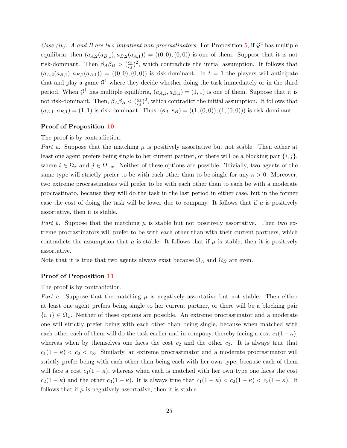Case (iv). A and B are two impatient non-procrastinators. For Proposition [5,](#page-13-3) if  $\mathcal{G}^2$  has multiple equilibria, then  $(a_{A,2}(a_{B,1}), a_{B,2}(a_{A,1})) = ((0,0), (0,0))$  is one of them. Suppose that it is not risk-dominant. Then  $\beta_A \beta_B > (\frac{c_2}{c_3})$  $\frac{c_2}{c_3}$ )<sup>2</sup>, which contradicts the initial assumption. It follows that  $(a_{A,2}(a_{B,1}), a_{B,2}(a_{A,1})) = ((0,0), (0,0))$  is risk-dominant. In  $t = 1$  the players will anticipate that and play a game  $\mathcal{G}^1$  where they decide whether doing the task immediately or in the third period. When  $\mathcal{G}^1$  has multiple equilibria,  $(a_{A,1}, a_{B,1}) = (1,1)$  is one of them. Suppose that it is not risk-dominant. Then,  $\beta_A \beta_B < (\frac{c_1}{c_2})$  $\frac{c_1}{c_3}$ )<sup>2</sup>, which contradict the initial assumption. It follows that  $(a_{A,1}, a_{B,1}) = (1, 1)$  is risk-dominant. Thus,  $(\mathbf{s}_A, \mathbf{s}_B) = ((1, (0, 0)), (1, (0, 0)))$  is risk-dominant.

### Proof of Proposition [10](#page-17-0)

The proof is by contradiction.

Part a. Suppose that the matching  $\mu$  is positively assortative but not stable. Then either at least one agent prefers being single to her current partner, or there will be a blocking pair  $\{i, j\}$ , where  $i \in \Omega_x$  and  $j \in \Omega_{-x}$ . Neither of these options are possible. Trivially, two agents of the same type will strictly prefer to be with each other than to be single for any  $\kappa > 0$ . Moreover, two extreme procrastinators will prefer to be with each other than to each be with a moderate procrastinato, because they will do the task in the last period in either case, but in the former case the cost of doing the task will be lower due to company. It follows that if  $\mu$  is positively assortative, then it is stable.

Part b. Suppose that the matching  $\mu$  is stable but not positively assortative. Then two extreme procrastinators will prefer to be with each other than with their current partners, which contradicts the assumption that  $\mu$  is stable. It follows that if  $\mu$  is stable, then it is positively assortative.

Note that it is true that two agents always exist because  $\Omega_A$  and  $\Omega_B$  are even.

## Proof of Proposition [11](#page-18-1)

The proof is by contradiction.

Part a. Suppose that the matching  $\mu$  is negatively assortative but not stable. Then either at least one agent prefers being single to her current partner, or there will be a blocking pair  ${i, j} \in \Omega_x$ . Neither of these options are possible. An extreme procrastinator and a moderate one will strictly prefer being with each other than being single, because when matched with each other each of them will do the task earlier and in company, thereby facing a cost  $c_1(1 - \kappa)$ , whereas when by themselves one faces the cost  $c_2$  and the other  $c_3$ . It is always true that  $c_1(1 - \kappa) < c_2 < c_3$ . Similarly, an extreme procrastinator and a moderate procrastinator will strictly prefer being with each other than being each with her own type, because each of them will face a cost  $c_1(1 - \kappa)$ , whereas when each is matched with her own type one faces the cost  $c_2(1 - \kappa)$  and the other  $c_3(1 - \kappa)$ . It is always true that  $c_1(1 - \kappa) < c_2(1 - \kappa) < c_3(1 - \kappa)$ . It follows that if  $\mu$  is negatively assortative, then it is stable.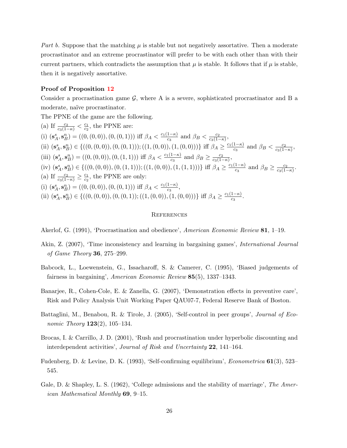Part b. Suppose that the matching  $\mu$  is stable but not negatively assortative. Then a moderate procrastinator and an extreme procrastinator will prefer to be with each other than with their current partners, which contradicts the assumption that  $\mu$  is stable. It follows that if  $\mu$  is stable, then it is negatively assortative.

#### Proof of Proposition [12](#page-20-0)

Consider a procrastination game  $\mathcal{G}$ , where A is a severe, sophisticated procrastinator and B a moderate, naïve procrastinator.

The PPNE of the game are the following.

(a) If  $\frac{c_2}{c_3(1-\kappa)} < \frac{c_1}{c_2}$  $\frac{c_1}{c_2}$ , the PPNE are: (i)  $(\mathbf{s}_A^s, \mathbf{s}_B^n) = ((0, (0, 0)), (0, (0, 1)))$  iff  $\beta_A < \frac{c_1(1-\kappa)}{c_3}$  $\frac{1-\kappa)}{c_3}$  and  $\beta_B < \frac{c_2}{c_3(1-\kappa)}$  $\frac{c_2}{c_3(1-\kappa)},$ (ii)  $(\mathbf{s}_A^s, \mathbf{s}_B^n) \in \{((0, (0, 0)), (0, (0, 1))); ((1, (0, 0)), (1, (0, 0)))\}$  iff  $\beta_A \geq \frac{c_1(1-\kappa)}{c_3}$  $\frac{1-\kappa)}{c_3}$  and  $\beta_B < \frac{c_2}{c_3(1-\kappa)}$  $\frac{c_2}{c_3(1-\kappa)},$ (iii)  $(\mathbf{s}_A^s, \mathbf{s}_B^n) = ((0, (0, 0)), (0, (1, 1)))$  iff  $\beta_A < \frac{c_1(1-\kappa)}{c_3}$  $\frac{1-\kappa}{c_3}$  and  $\beta_B \geq \frac{c_2}{c_3(1-\kappa)}$  $\frac{c_2}{c_3(1-\kappa)},$ (iv)  $(\mathbf{s}_A^s, \mathbf{s}_B^n) \in \{((0, (0, 0)), (0, (1, 1))); ((1, (0, 0)), (1, (1, 1)))\}$  iff  $\beta_A \geq \frac{c_1(1-\kappa)}{c_3}$  $\frac{1-\kappa}{c_3}$  and  $\beta_B \geq \frac{c_2}{c_3(1-\kappa)}$  $\frac{c_2}{c_3(1-\kappa)}$ . (a) If  $\frac{c_2}{c_3(1-\kappa)} \geq \frac{c_1}{c_2}$  $\frac{c_1}{c_2}$ , the PPNE are only: (i)  $(\mathbf{s}_A^s, \mathbf{s}_B^n) = ((0, (0, 0)), (0, (0, 1)))$  iff  $\beta_A < \frac{c_1(1-\kappa)}{c_3}$  $\frac{1-\kappa_j}{c_3},$ (ii)  $(\mathbf{s}_A^s, \mathbf{s}_B^n) \in \{((0, (0, 0)), (0, (0, 1)); ((1, (0, 0)), (1, (0, 0)))\}$  iff  $\beta_A \geq \frac{c_1(1-\kappa)}{c_3}$  $\frac{1-\kappa_j}{c_3}$ .

#### **REFERENCES**

<span id="page-27-3"></span>Akerlof, G. (1991), 'Procrastination and obedience', American Economic Review 81, 1–19.

- <span id="page-27-4"></span>Akin, Z. (2007), 'Time inconsistency and learning in bargaining games', International Journal of Game Theory 36, 275–299.
- <span id="page-27-7"></span>Babcock, L., Loewenstein, G., Issacharoff, S. & Camerer, C. (1995), 'Biased judgements of fairness in bargaining', American Economic Review 85(5), 1337–1343.
- <span id="page-27-0"></span>Banarjee, R., Cohen-Cole, E. & Zanella, G. (2007), 'Demonstration effects in preventive care', Risk and Policy Analysis Unit Working Paper QAU07-7, Federal Reserve Bank of Boston.
- <span id="page-27-2"></span>Battaglini, M., Benabou, R. & Tirole, J. (2005), 'Self-control in peer groups', *Journal of Economic Theory*  $123(2)$ ,  $105-134$ .
- <span id="page-27-1"></span>Brocas, I. & Carrillo, J. D. (2001), 'Rush and procrastination under hyperbolic discounting and interdependent activities', Journal of Risk and Uncertainty 22, 141–164.
- <span id="page-27-6"></span>Fudenberg, D. & Levine, D. K. (1993), 'Self-confirming equilibrium', *Econometrica* 61(3), 523– 545.
- <span id="page-27-5"></span>Gale, D. & Shapley, L. S. (1962), 'College admissions and the stability of marriage', The American Mathematical Monthly 69, 9–15.